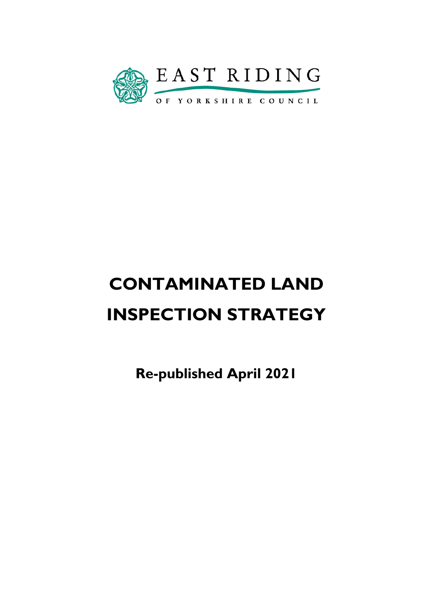

# **CONTAMINATED LAND INSPECTION STRATEGY**

**Re-published April 2021**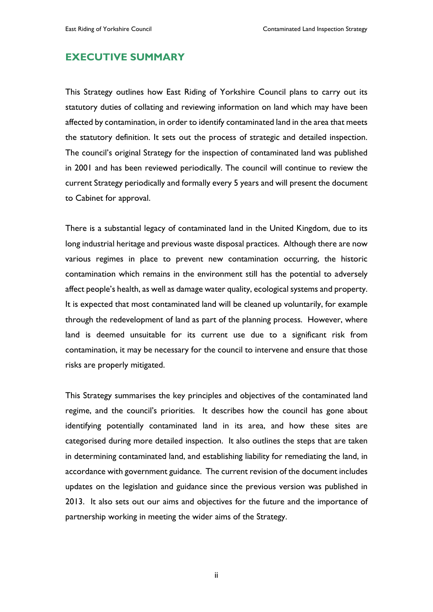# **EXECUTIVE SUMMARY**

This Strategy outlines how East Riding of Yorkshire Council plans to carry out its statutory duties of collating and reviewing information on land which may have been affected by contamination, in order to identify contaminated land in the area that meets the statutory definition. It sets out the process of strategic and detailed inspection. The council's original Strategy for the inspection of contaminated land was published in 2001 and has been reviewed periodically. The council will continue to review the current Strategy periodically and formally every 5 years and will present the document to Cabinet for approval.

There is a substantial legacy of contaminated land in the United Kingdom, due to its long industrial heritage and previous waste disposal practices. Although there are now various regimes in place to prevent new contamination occurring, the historic contamination which remains in the environment still has the potential to adversely affect people's health, as well as damage water quality, ecological systems and property. It is expected that most contaminated land will be cleaned up voluntarily, for example through the redevelopment of land as part of the planning process. However, where land is deemed unsuitable for its current use due to a significant risk from contamination, it may be necessary for the council to intervene and ensure that those risks are properly mitigated.

This Strategy summarises the key principles and objectives of the contaminated land regime, and the council's priorities. It describes how the council has gone about identifying potentially contaminated land in its area, and how these sites are categorised during more detailed inspection. It also outlines the steps that are taken in determining contaminated land, and establishing liability for remediating the land, in accordance with government guidance. The current revision of the document includes updates on the legislation and guidance since the previous version was published in 2013. It also sets out our aims and objectives for the future and the importance of partnership working in meeting the wider aims of the Strategy.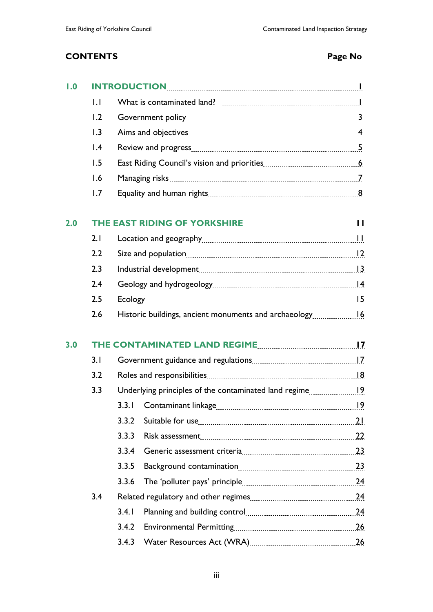# **CONTENTS Page No**

| 1.0 |                                                                |                                                          |  |  |
|-----|----------------------------------------------------------------|----------------------------------------------------------|--|--|
|     | $\mathsf{L}$                                                   |                                                          |  |  |
|     | 1.2                                                            |                                                          |  |  |
|     | 1.3                                                            |                                                          |  |  |
|     | $\overline{1.4}$                                               |                                                          |  |  |
|     | 1.5                                                            |                                                          |  |  |
|     | 1.6                                                            |                                                          |  |  |
|     | 1.7                                                            |                                                          |  |  |
| 2.0 | THE EAST RIDING OF YORKSHIRE [11] THE EAST RIDING OF YORKSHIRE |                                                          |  |  |
|     | 2.1                                                            |                                                          |  |  |
|     | 2.2                                                            |                                                          |  |  |
|     | 2.3                                                            |                                                          |  |  |
|     | 2.4                                                            |                                                          |  |  |
|     | 2.5                                                            |                                                          |  |  |
|     | 2.6                                                            |                                                          |  |  |
| 3.0 |                                                                | THE CONTAMINATED LAND REGIME MANUSCRIPTION MANUSCRIPTION |  |  |
|     | 3.1                                                            |                                                          |  |  |
|     | 3.2                                                            |                                                          |  |  |
|     | 3.3                                                            |                                                          |  |  |
|     |                                                                |                                                          |  |  |
|     |                                                                | 3.3.2                                                    |  |  |
|     |                                                                | 3.3.3                                                    |  |  |
|     |                                                                | 3.3.4                                                    |  |  |
|     |                                                                | 3.3.5                                                    |  |  |
|     |                                                                | 3.3.6                                                    |  |  |
|     | 3.4                                                            |                                                          |  |  |
|     |                                                                | 3.4.1                                                    |  |  |
|     |                                                                | 3.4.2                                                    |  |  |
|     |                                                                | 3.4.3                                                    |  |  |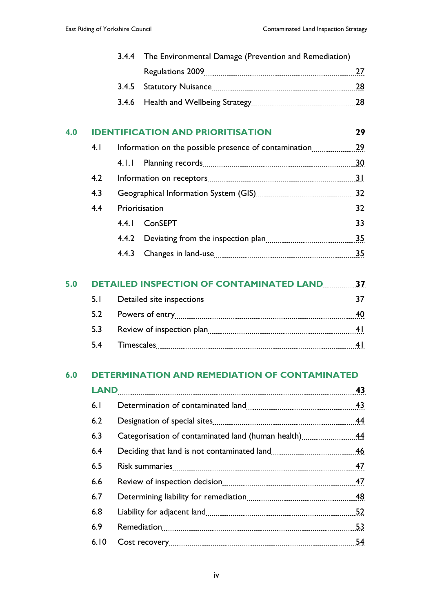|     |                                                    | 3.4.4 | The Environmental Damage (Prevention and Remediation) |    |
|-----|----------------------------------------------------|-------|-------------------------------------------------------|----|
|     |                                                    |       |                                                       | 27 |
|     |                                                    | 3.4.5 |                                                       |    |
|     |                                                    | 3.4.6 |                                                       |    |
| 4.0 |                                                    |       | <b>IDENTIFICATION AND PRIORITISATION 29</b>           |    |
|     | 4.1                                                |       |                                                       |    |
|     |                                                    |       |                                                       |    |
|     | 4.2                                                |       |                                                       |    |
|     | 4.3                                                |       |                                                       |    |
|     | 4.4                                                |       |                                                       |    |
|     |                                                    |       |                                                       |    |
|     |                                                    |       |                                                       |    |
|     |                                                    | 4.4.3 |                                                       |    |
| 5.0 | <b>DETAILED INSPECTION OF CONTAMINATED LAND 37</b> |       |                                                       |    |
|     | 5.1                                                |       |                                                       |    |

|     |                                                                                                                                                                                                                                      | 40 |
|-----|--------------------------------------------------------------------------------------------------------------------------------------------------------------------------------------------------------------------------------------|----|
|     | 5.3 Review of inspection plan <u>mand contained and the set of the set of the set of the set of the set of the set of the set of the set of the set of the set of the set of the set of the set of the set of the set of the set</u> |    |
| 5.4 |                                                                                                                                                                                                                                      |    |

# **6.0 DETERMINATION AND REMEDIATION OF CONTAMINATED**

| 6.1  |                                                    | 43 |
|------|----------------------------------------------------|----|
| 6.2  |                                                    | 44 |
| 6.3  | Categorisation of contaminated land (human health) | 44 |
| 6.4  |                                                    | 46 |
| 6.5  |                                                    | 47 |
| 6.6  |                                                    | 47 |
| 6.7  |                                                    | 48 |
| 6.8  |                                                    | 52 |
| 6.9  |                                                    | 53 |
| 6.10 |                                                    | 54 |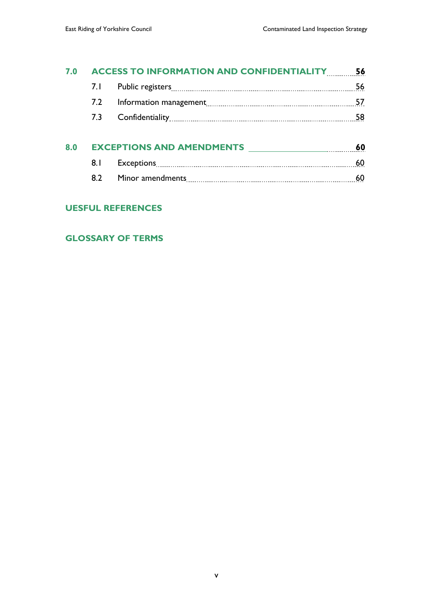| 7.0 | <b>ACCESS TO INFORMATION AND CONFIDENTIALITY</b> |  | 56 |
|-----|--------------------------------------------------|--|----|
|     | 7. L                                             |  | 56 |
|     | 7.2                                              |  | 57 |
|     | 7.3                                              |  | 58 |
| 8.0 | <b>EXCEPTIONS AND AMENDMENTS</b>                 |  | 60 |
|     | 8.1                                              |  | 60 |
|     | 8.2                                              |  | 60 |

# **UESFUL REFERENCES**

#### **GLOSSARY OF TERMS**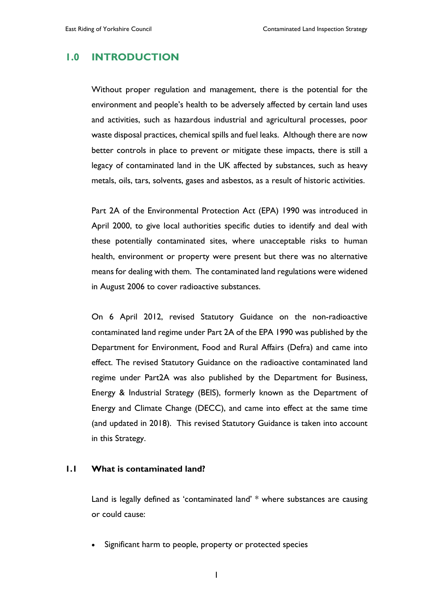# **1.0 INTRODUCTION**

Without proper regulation and management, there is the potential for the environment and people's health to be adversely affected by certain land uses and activities, such as hazardous industrial and agricultural processes, poor waste disposal practices, chemical spills and fuel leaks. Although there are now better controls in place to prevent or mitigate these impacts, there is still a legacy of contaminated land in the UK affected by substances, such as heavy metals, oils, tars, solvents, gases and asbestos, as a result of historic activities.

Part 2A of the Environmental Protection Act (EPA) 1990 was introduced in April 2000, to give local authorities specific duties to identify and deal with these potentially contaminated sites, where unacceptable risks to human health, environment or property were present but there was no alternative means for dealing with them. The contaminated land regulations were widened in August 2006 to cover radioactive substances.

On 6 April 2012, revised Statutory Guidance on the non-radioactive contaminated land regime under Part 2A of the EPA 1990 was published by the Department for Environment, Food and Rural Affairs (Defra) and came into effect. The revised Statutory Guidance on the radioactive contaminated land regime under Part2A was also published by the Department for Business, Energy & Industrial Strategy (BEIS), formerly known as the Department of Energy and Climate Change (DECC), and came into effect at the same time (and updated in 2018). This revised Statutory Guidance is taken into account in this Strategy.

#### **1.1 What is contaminated land?**

Land is legally defined as 'contaminated land' \* where substances are causing or could cause:

Significant harm to people, property or protected species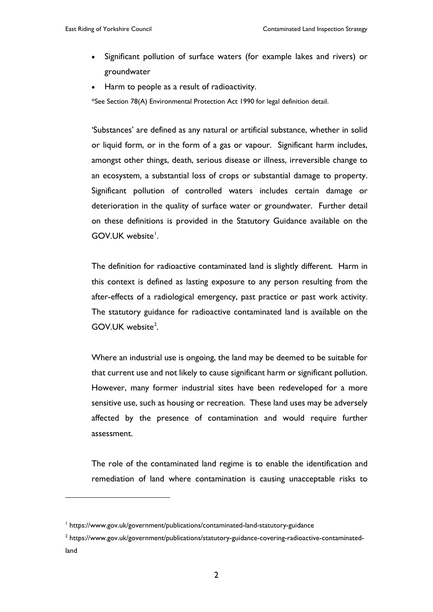- Significant pollution of surface waters (for example lakes and rivers) or groundwater
- Harm to people as a result of radioactivity.

\*See Section 78(A) Environmental Protection Act 1990 for legal definition detail.

'Substances' are defined as any natural or artificial substance, whether in solid or liquid form, or in the form of a gas or vapour. Significant harm includes, amongst other things, death, serious disease or illness, irreversible change to an ecosystem, a substantial loss of crops or substantial damage to property. Significant pollution of controlled waters includes certain damage or deterioration in the quality of surface water or groundwater. Further detail on these definitions is provided in the Statutory Guidance available on the GOV.UK website<sup>[1](#page-6-0)</sup>.

The definition for radioactive contaminated land is slightly different. Harm in this context is defined as lasting exposure to any person resulting from the after-effects of a radiological emergency, past practice or past work activity. The statutory guidance for radioactive contaminated land is available on the GOV.UK website<sup>[2](#page-6-1)</sup>.

Where an industrial use is ongoing, the land may be deemed to be suitable for that current use and not likely to cause significant harm or significant pollution. However, many former industrial sites have been redeveloped for a more sensitive use, such as housing or recreation. These land uses may be adversely affected by the presence of contamination and would require further assessment.

The role of the contaminated land regime is to enable the identification and remediation of land where contamination is causing unacceptable risks to

 $\overline{a}$ 

<span id="page-6-0"></span><sup>&</sup>lt;sup>1</sup> https://www.gov.uk/government/publications/contaminated-land-statutory-guidance

<span id="page-6-1"></span><sup>2</sup> https://www.gov.uk/government/publications/statutory-guidance-covering-radioactive-contaminatedland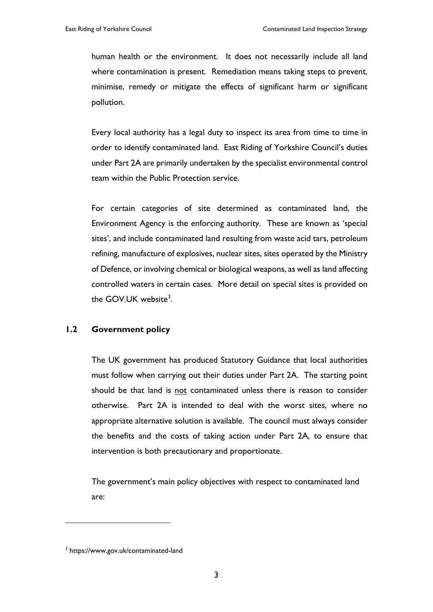human health or the environment. It does not necessarily include all land where contamination is present. Remediation means taking steps to prevent, minimise, remedy or mitigate the effects of significant harm or significant pollution.

Every local authority has a legal duty to inspect its area from time to time in order to identify contaminated land. East Riding of Yorkshire Council's duties under Part 2A are primarily undertaken by the specialist environmental control team within the Public Protection service.

For certain categories of site determined as contaminated land, the Environment Agency is the enforcing authority. These are known as 'special sites', and include contaminated land resulting from waste acid tars, petroleum refining, manufacture of explosives, nuclear sites, sites operated by the Ministry of Defence, or involving chemical or biological weapons, as well as land affecting controlled waters in certain cases. More detail on special sites is provided on the GOV.UK website<sup>[3](#page-7-0)</sup>.

#### **1.2 Government policy**

The UK government has produced Statutory Guidance that local authorities must follow when carrying out their duties under Part 2A. The starting point should be that land is not contaminated unless there is reason to consider otherwise. Part 2A is intended to deal with the worst sites, where no appropriate alternative solution is available. The council must always consider the benefits and the costs of taking action under Part 2A, to ensure that intervention is both precautionary and proportionate.

The government's main policy objectives with respect to contaminated land are:

 $\overline{a}$ 

<span id="page-7-0"></span><sup>3</sup> https://www.gov.uk/contaminated-land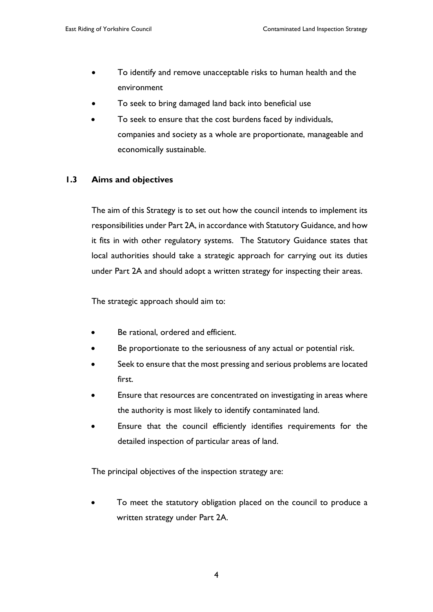- To identify and remove unacceptable risks to human health and the environment
- To seek to bring damaged land back into beneficial use
- To seek to ensure that the cost burdens faced by individuals, companies and society as a whole are proportionate, manageable and economically sustainable.

#### **1.3 Aims and objectives**

The aim of this Strategy is to set out how the council intends to implement its responsibilities under Part 2A, in accordance with Statutory Guidance, and how it fits in with other regulatory systems. The Statutory Guidance states that local authorities should take a strategic approach for carrying out its duties under Part 2A and should adopt a written strategy for inspecting their areas.

The strategic approach should aim to:

- Be rational, ordered and efficient.
- Be proportionate to the seriousness of any actual or potential risk.
- Seek to ensure that the most pressing and serious problems are located first.
- Ensure that resources are concentrated on investigating in areas where the authority is most likely to identify contaminated land.
- Ensure that the council efficiently identifies requirements for the detailed inspection of particular areas of land.

The principal objectives of the inspection strategy are:

To meet the statutory obligation placed on the council to produce a written strategy under Part 2A.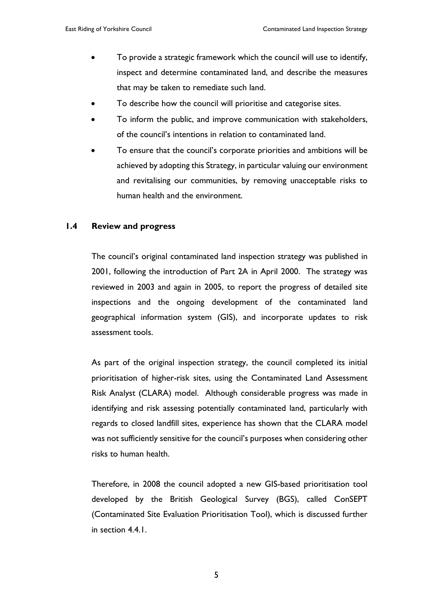- To provide a strategic framework which the council will use to identify, inspect and determine contaminated land, and describe the measures that may be taken to remediate such land.
- To describe how the council will prioritise and categorise sites.
- To inform the public, and improve communication with stakeholders, of the council's intentions in relation to contaminated land.
- To ensure that the council's corporate priorities and ambitions will be achieved by adopting this Strategy, in particular valuing our environment and revitalising our communities, by removing unacceptable risks to human health and the environment.

#### **1.4 Review and progress**

The council's original contaminated land inspection strategy was published in 2001, following the introduction of Part 2A in April 2000. The strategy was reviewed in 2003 and again in 2005, to report the progress of detailed site inspections and the ongoing development of the contaminated land geographical information system (GIS), and incorporate updates to risk assessment tools.

As part of the original inspection strategy, the council completed its initial prioritisation of higher-risk sites, using the Contaminated Land Assessment Risk Analyst (CLARA) model. Although considerable progress was made in identifying and risk assessing potentially contaminated land, particularly with regards to closed landfill sites, experience has shown that the CLARA model was not sufficiently sensitive for the council's purposes when considering other risks to human health.

Therefore, in 2008 the council adopted a new GIS-based prioritisation tool developed by the British Geological Survey (BGS), called ConSEPT (Contaminated Site Evaluation Prioritisation Tool), which is discussed further in section 4.4.1.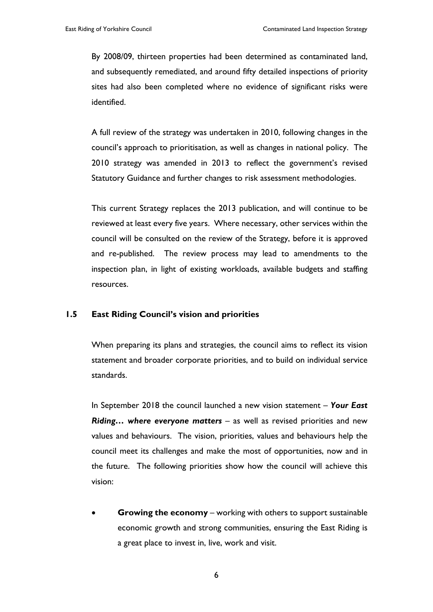By 2008/09, thirteen properties had been determined as contaminated land, and subsequently remediated, and around fifty detailed inspections of priority sites had also been completed where no evidence of significant risks were identified.

A full review of the strategy was undertaken in 2010, following changes in the council's approach to prioritisation, as well as changes in national policy. The 2010 strategy was amended in 2013 to reflect the government's revised Statutory Guidance and further changes to risk assessment methodologies.

This current Strategy replaces the 2013 publication, and will continue to be reviewed at least every five years. Where necessary, other services within the council will be consulted on the review of the Strategy, before it is approved and re-published. The review process may lead to amendments to the inspection plan, in light of existing workloads, available budgets and staffing resources.

#### **1.5 East Riding Council's vision and priorities**

When preparing its plans and strategies, the council aims to reflect its vision statement and broader corporate priorities, and to build on individual service standards.

In September 2018 the council launched a new vision statement – *Your East Riding… where everyone matters* – as well as revised priorities and new values and behaviours. The vision, priorities, values and behaviours help the council meet its challenges and make the most of opportunities, now and in the future. The following priorities show how the council will achieve this vision:

**Growing the economy** – working with others to support sustainable economic growth and strong communities, ensuring the East Riding is a great place to invest in, live, work and visit.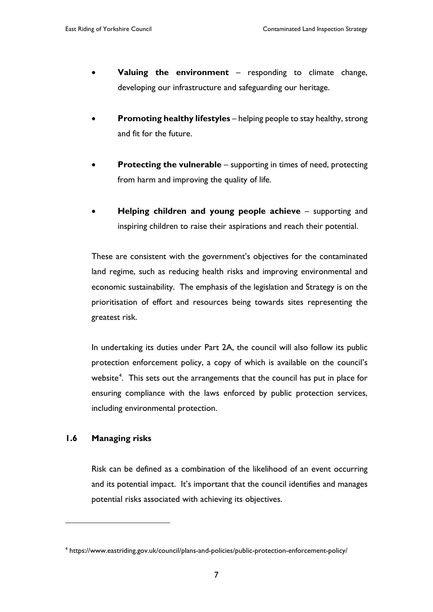- **Valuing the environment** responding to climate change, developing our infrastructure and safeguarding our heritage.
- **Promoting healthy lifestyles** helping people to stay healthy, strong and fit for the future.
- **Protecting the vulnerable** supporting in times of need, protecting from harm and improving the quality of life.
- **Helping children and young people achieve supporting and** inspiring children to raise their aspirations and reach their potential.

These are consistent with the government's objectives for the contaminated land regime, such as reducing health risks and improving environmental and economic sustainability. The emphasis of the legislation and Strategy is on the prioritisation of effort and resources being towards sites representing the greatest risk.

In undertaking its duties under Part 2A, the council will also follow its public protection enforcement policy, a copy of which is available on the council's website<sup>[4](#page-11-0)</sup>. This sets out the arrangements that the council has put in place for ensuring compliance with the laws enforced by public protection services, including environmental protection.

#### **1.6 Managing risks**

 $\overline{a}$ 

Risk can be defined as a combination of the likelihood of an event occurring and its potential impact. It's important that the council identifies and manages potential risks associated with achieving its objectives.

<span id="page-11-0"></span><sup>4</sup> https://www.eastriding.gov.uk/council/plans-and-policies/public-protection-enforcement-policy/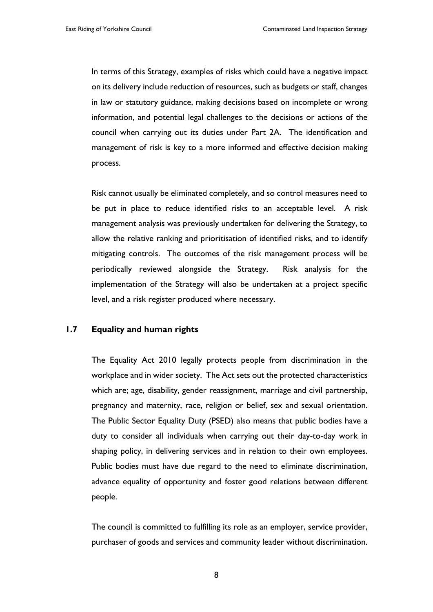In terms of this Strategy, examples of risks which could have a negative impact on its delivery include reduction of resources, such as budgets or staff, changes in law or statutory guidance, making decisions based on incomplete or wrong information, and potential legal challenges to the decisions or actions of the council when carrying out its duties under Part 2A. The identification and management of risk is key to a more informed and effective decision making process.

Risk cannot usually be eliminated completely, and so control measures need to be put in place to reduce identified risks to an acceptable level. A risk management analysis was previously undertaken for delivering the Strategy, to allow the relative ranking and prioritisation of identified risks, and to identify mitigating controls. The outcomes of the risk management process will be periodically reviewed alongside the Strategy. Risk analysis for the implementation of the Strategy will also be undertaken at a project specific level, and a risk register produced where necessary.

#### **1.7 Equality and human rights**

The Equality Act 2010 legally protects people from discrimination in the workplace and in wider society. The Act sets out the protected characteristics which are; age, disability, gender reassignment, marriage and civil partnership, pregnancy and maternity, race, religion or belief, sex and sexual orientation. The Public Sector Equality Duty (PSED) also means that public bodies have a duty to consider all individuals when carrying out their day-to-day work in shaping policy, in delivering services and in relation to their own employees. Public bodies must have due regard to the need to eliminate discrimination, advance equality of opportunity and foster good relations between different people.

The council is committed to fulfilling its role as an employer, service provider, purchaser of goods and services and community leader without discrimination.

8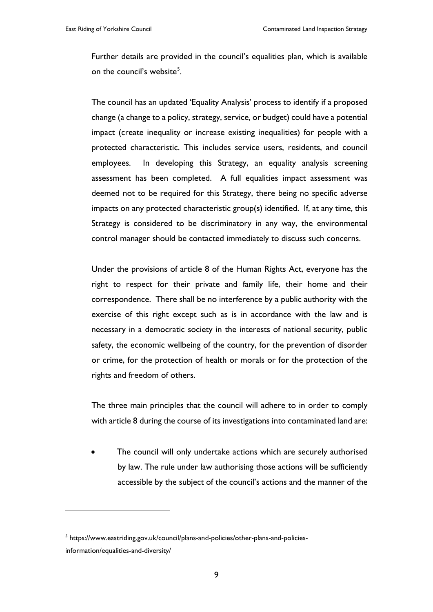Further details are provided in the council's equalities plan, which is available on the council's website<sup>[5](#page-13-0)</sup>.

The council has an updated 'Equality Analysis' process to identify if a proposed change (a change to a policy, strategy, service, or budget) could have a potential impact (create inequality or increase existing inequalities) for people with a protected characteristic. This includes service users, residents, and council employees. In developing this Strategy, an equality analysis screening assessment has been completed. A full equalities impact assessment was deemed not to be required for this Strategy, there being no specific adverse impacts on any protected characteristic group(s) identified. If, at any time, this Strategy is considered to be discriminatory in any way, the environmental control manager should be contacted immediately to discuss such concerns.

Under the provisions of article 8 of the Human Rights Act, everyone has the right to respect for their private and family life, their home and their correspondence. There shall be no interference by a public authority with the exercise of this right except such as is in accordance with the law and is necessary in a democratic society in the interests of national security, public safety, the economic wellbeing of the country, for the prevention of disorder or crime, for the protection of health or morals or for the protection of the rights and freedom of others.

The three main principles that the council will adhere to in order to comply with article 8 during the course of its investigations into contaminated land are:

The council will only undertake actions which are securely authorised by law. The rule under law authorising those actions will be sufficiently accessible by the subject of the council's actions and the manner of the

 $\overline{a}$ 

<span id="page-13-0"></span><sup>5</sup> https://www.eastriding.gov.uk/council/plans-and-policies/other-plans-and-policiesinformation/equalities-and-diversity/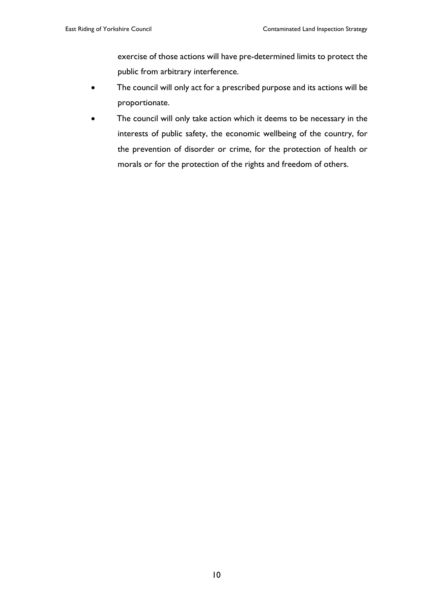exercise of those actions will have pre-determined limits to protect the public from arbitrary interference.

- The council will only act for a prescribed purpose and its actions will be proportionate.
- The council will only take action which it deems to be necessary in the interests of public safety, the economic wellbeing of the country, for the prevention of disorder or crime, for the protection of health or morals or for the protection of the rights and freedom of others.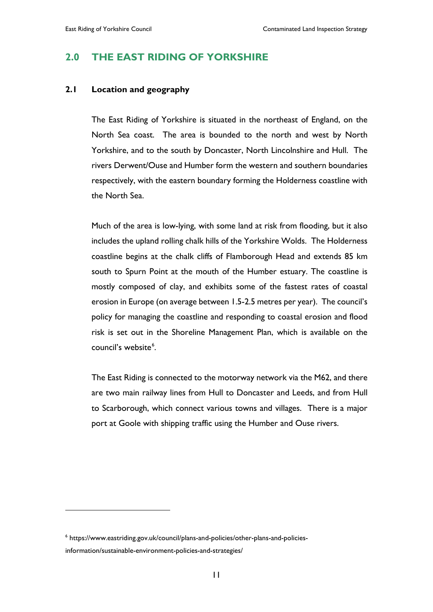# **2.0 THE EAST RIDING OF YORKSHIRE**

#### **2.1 Location and geography**

The East Riding of Yorkshire is situated in the northeast of England, on the North Sea coast. The area is bounded to the north and west by North Yorkshire, and to the south by Doncaster, North Lincolnshire and Hull. The rivers Derwent/Ouse and Humber form the western and southern boundaries respectively, with the eastern boundary forming the Holderness coastline with the North Sea.

Much of the area is low-lying, with some land at risk from flooding, but it also includes the upland rolling chalk hills of the Yorkshire Wolds. The Holderness coastline begins at the chalk cliffs of Flamborough Head and extends 85 km south to Spurn Point at the mouth of the Humber estuary. The coastline is mostly composed of clay, and exhibits some of the fastest rates of coastal erosion in Europe (on average between 1.5-2.5 metres per year). The council's policy for managing the coastline and responding to coastal erosion and flood risk is set out in the Shoreline Management Plan, which is available on the council's website<sup>[6](#page-15-0)</sup>.

The East Riding is connected to the motorway network via the M62, and there are two main railway lines from Hull to Doncaster and Leeds, and from Hull to Scarborough, which connect various towns and villages. There is a major port at Goole with shipping traffic using the Humber and Ouse rivers.

 $\overline{a}$ 

<span id="page-15-0"></span><sup>6</sup> https://www.eastriding.gov.uk/council/plans-and-policies/other-plans-and-policiesinformation/sustainable-environment-policies-and-strategies/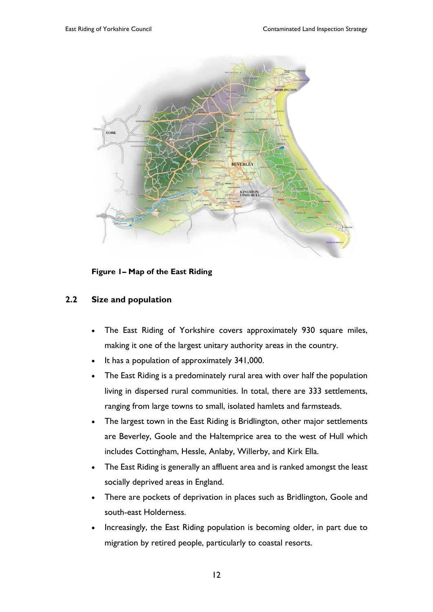

**Figure 1– Map of the East Riding**

#### **2.2 Size and population**

- The East Riding of Yorkshire covers approximately 930 square miles, making it one of the largest unitary authority areas in the country.
- It has a population of approximately 341,000.
- The East Riding is a predominately rural area with over half the population living in dispersed rural communities. In total, there are 333 settlements, ranging from large towns to small, isolated hamlets and farmsteads.
- The largest town in the East Riding is Bridlington, other major settlements are Beverley, Goole and the Haltemprice area to the west of Hull which includes Cottingham, Hessle, Anlaby, Willerby, and Kirk Ella.
- The East Riding is generally an affluent area and is ranked amongst the least socially deprived areas in England.
- There are pockets of deprivation in places such as Bridlington, Goole and south-east Holderness.
- Increasingly, the East Riding population is becoming older, in part due to migration by retired people, particularly to coastal resorts.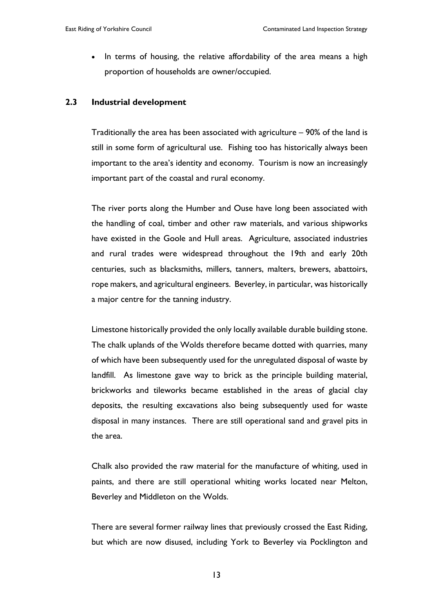• In terms of housing, the relative affordability of the area means a high proportion of households are owner/occupied.

#### **2.3 Industrial development**

Traditionally the area has been associated with agriculture – 90% of the land is still in some form of agricultural use. Fishing too has historically always been important to the area's identity and economy. Tourism is now an increasingly important part of the coastal and rural economy.

The river ports along the Humber and Ouse have long been associated with the handling of coal, timber and other raw materials, and various shipworks have existed in the Goole and Hull areas. Agriculture, associated industries and rural trades were widespread throughout the 19th and early 20th centuries, such as blacksmiths, millers, tanners, malters, brewers, abattoirs, rope makers, and agricultural engineers. Beverley, in particular, was historically a major centre for the tanning industry.

Limestone historically provided the only locally available durable building stone. The chalk uplands of the Wolds therefore became dotted with quarries, many of which have been subsequently used for the unregulated disposal of waste by landfill. As limestone gave way to brick as the principle building material, brickworks and tileworks became established in the areas of glacial clay deposits, the resulting excavations also being subsequently used for waste disposal in many instances. There are still operational sand and gravel pits in the area.

Chalk also provided the raw material for the manufacture of whiting, used in paints, and there are still operational whiting works located near Melton, Beverley and Middleton on the Wolds.

There are several former railway lines that previously crossed the East Riding, but which are now disused, including York to Beverley via Pocklington and

13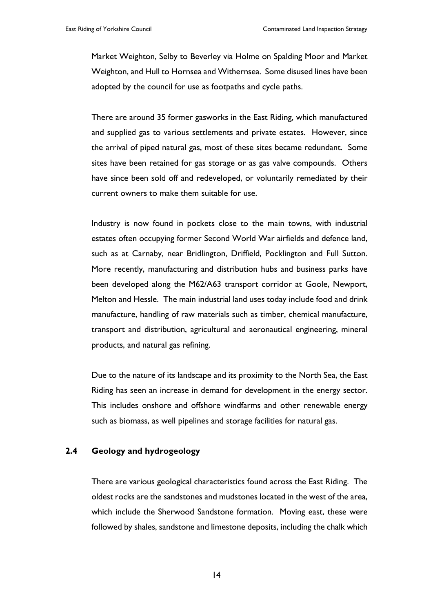Market Weighton, Selby to Beverley via Holme on Spalding Moor and Market Weighton, and Hull to Hornsea and Withernsea. Some disused lines have been adopted by the council for use as footpaths and cycle paths.

There are around 35 former gasworks in the East Riding, which manufactured and supplied gas to various settlements and private estates. However, since the arrival of piped natural gas, most of these sites became redundant. Some sites have been retained for gas storage or as gas valve compounds. Others have since been sold off and redeveloped, or voluntarily remediated by their current owners to make them suitable for use.

Industry is now found in pockets close to the main towns, with industrial estates often occupying former Second World War airfields and defence land, such as at Carnaby, near Bridlington, Driffield, Pocklington and Full Sutton. More recently, manufacturing and distribution hubs and business parks have been developed along the M62/A63 transport corridor at Goole, Newport, Melton and Hessle. The main industrial land uses today include food and drink manufacture, handling of raw materials such as timber, chemical manufacture, transport and distribution, agricultural and aeronautical engineering, mineral products, and natural gas refining.

Due to the nature of its landscape and its proximity to the North Sea, the East Riding has seen an increase in demand for development in the energy sector. This includes onshore and offshore windfarms and other renewable energy such as biomass, as well pipelines and storage facilities for natural gas.

#### **2.4 Geology and hydrogeology**

There are various geological characteristics found across the East Riding. The oldest rocks are the sandstones and mudstones located in the west of the area, which include the Sherwood Sandstone formation. Moving east, these were followed by shales, sandstone and limestone deposits, including the chalk which

14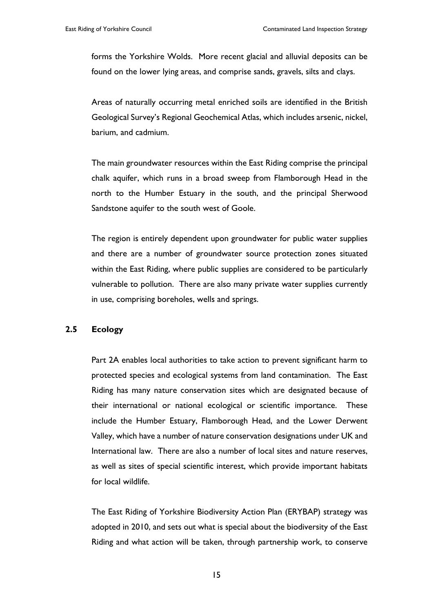forms the Yorkshire Wolds. More recent glacial and alluvial deposits can be found on the lower lying areas, and comprise sands, gravels, silts and clays.

Areas of naturally occurring metal enriched soils are identified in the British Geological Survey's Regional Geochemical Atlas, which includes arsenic, nickel, barium, and cadmium.

The main groundwater resources within the East Riding comprise the principal chalk aquifer, which runs in a broad sweep from Flamborough Head in the north to the Humber Estuary in the south, and the principal Sherwood Sandstone aquifer to the south west of Goole.

The region is entirely dependent upon groundwater for public water supplies and there are a number of groundwater source protection zones situated within the East Riding, where public supplies are considered to be particularly vulnerable to pollution. There are also many private water supplies currently in use, comprising boreholes, wells and springs.

#### **2.5 Ecology**

Part 2A enables local authorities to take action to prevent significant harm to protected species and ecological systems from land contamination. The East Riding has many nature conservation sites which are designated because of their international or national ecological or scientific importance. These include the Humber Estuary, Flamborough Head, and the Lower Derwent Valley, which have a number of nature conservation designations under UK and International law. There are also a number of local sites and nature reserves, as well as sites of special scientific interest, which provide important habitats for local wildlife.

The East Riding of Yorkshire Biodiversity Action Plan (ERYBAP) strategy was adopted in 2010, and sets out what is special about the biodiversity of the East Riding and what action will be taken, through partnership work, to conserve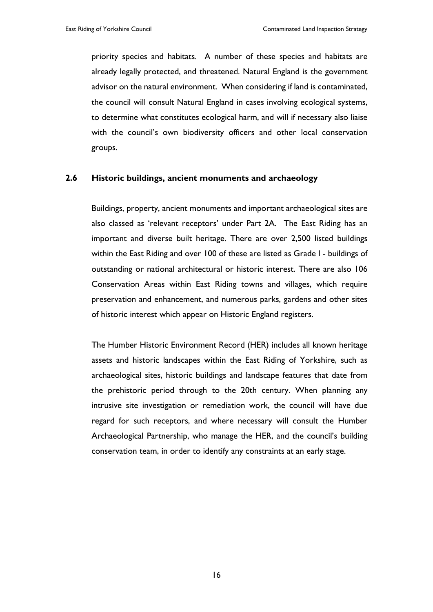priority species and habitats. A number of these species and habitats are already legally protected, and threatened. Natural England is the government advisor on the natural environment. When considering if land is contaminated, the council will consult Natural England in cases involving ecological systems, to determine what constitutes ecological harm, and will if necessary also liaise with the council's own biodiversity officers and other local conservation groups.

#### **2.6 Historic buildings, ancient monuments and archaeology**

Buildings, property, ancient monuments and important archaeological sites are also classed as 'relevant receptors' under Part 2A. The East Riding has an important and diverse built heritage. There are over 2,500 listed buildings within the East Riding and over 100 of these are listed as Grade I - buildings of outstanding or national architectural or historic interest. There are also 106 Conservation Areas within East Riding towns and villages, which require preservation and enhancement, and numerous parks, gardens and other sites of historic interest which appear on Historic England registers.

The Humber Historic Environment Record (HER) includes all known heritage assets and historic landscapes within the East Riding of Yorkshire, such as archaeological sites, historic buildings and landscape features that date from the prehistoric period through to the 20th century. When planning any intrusive site investigation or remediation work, the council will have due regard for such receptors, and where necessary will consult the Humber Archaeological Partnership, who manage the HER, and the council's building conservation team, in order to identify any constraints at an early stage.

16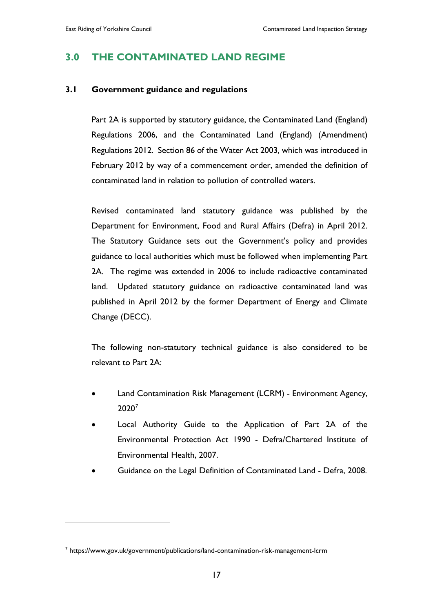# **3.0 THE CONTAMINATED LAND REGIME**

#### **3.1 Government guidance and regulations**

Part 2A is supported by statutory guidance, the Contaminated Land (England) Regulations 2006, and the Contaminated Land (England) (Amendment) Regulations 2012. Section 86 of the Water Act 2003, which was introduced in February 2012 by way of a commencement order, amended the definition of contaminated land in relation to pollution of controlled waters.

Revised contaminated land statutory guidance was published by the Department for Environment, Food and Rural Affairs (Defra) in April 2012. The Statutory Guidance sets out the Government's policy and provides guidance to local authorities which must be followed when implementing Part 2A. The regime was extended in 2006 to include radioactive contaminated land. Updated statutory guidance on radioactive contaminated land was published in April 2012 by the former Department of Energy and Climate Change (DECC).

The following non-statutory technical guidance is also considered to be relevant to Part 2A:

- Land Contamination Risk Management (LCRM) Environment Agency, 2020[7](#page-21-0)
- Local Authority Guide to the Application of Part 2A of the Environmental Protection Act 1990 - Defra/Chartered Institute of Environmental Health, 2007.
- Guidance on the Legal Definition of Contaminated Land Defra, 2008.

 $\overline{a}$ 

<span id="page-21-0"></span><sup>7</sup> https://www.gov.uk/government/publications/land-contamination-risk-management-lcrm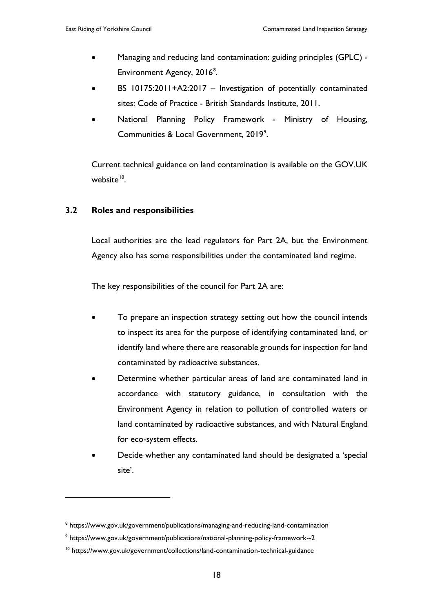- Managing and reducing land contamination: guiding principles (GPLC) Environment Agency, 2016<sup>[8](#page-22-0)</sup>.
- BS 10175:2011+A2:2017 Investigation of potentially contaminated sites: Code of Practice - British Standards Institute, 2011.
- National Planning Policy Framework Ministry of Housing, Communities & Local Government, 201[9](#page-22-1)<sup>9</sup>.

Current technical guidance on land contamination is available on the GOV.UK website $10$ .

### **3.2 Roles and responsibilities**

 $\overline{a}$ 

Local authorities are the lead regulators for Part 2A, but the Environment Agency also has some responsibilities under the contaminated land regime.

The key responsibilities of the council for Part 2A are:

- To prepare an inspection strategy setting out how the council intends to inspect its area for the purpose of identifying contaminated land, or identify land where there are reasonable grounds for inspection for land contaminated by radioactive substances.
- Determine whether particular areas of land are contaminated land in accordance with statutory guidance, in consultation with the Environment Agency in relation to pollution of controlled waters or land contaminated by radioactive substances, and with Natural England for eco-system effects.
- Decide whether any contaminated land should be designated a 'special site'.

<span id="page-22-0"></span><sup>8</sup> https://www.gov.uk/government/publications/managing-and-reducing-land-contamination

<span id="page-22-1"></span><sup>9</sup> https://www.gov.uk/government/publications/national-planning-policy-framework--2

<span id="page-22-2"></span><sup>&</sup>lt;sup>10</sup> https://www.gov.uk/government/collections/land-contamination-technical-guidance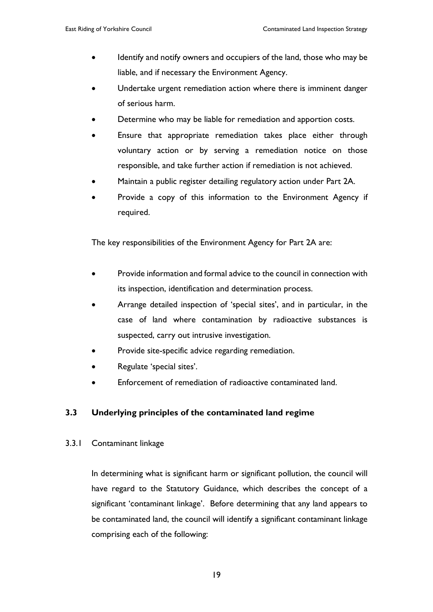- Identify and notify owners and occupiers of the land, those who may be liable, and if necessary the Environment Agency.
- Undertake urgent remediation action where there is imminent danger of serious harm.
- Determine who may be liable for remediation and apportion costs.
- Ensure that appropriate remediation takes place either through voluntary action or by serving a remediation notice on those responsible, and take further action if remediation is not achieved.
- Maintain a public register detailing regulatory action under Part 2A.
- Provide a copy of this information to the Environment Agency if required.

The key responsibilities of the Environment Agency for Part 2A are:

- Provide information and formal advice to the council in connection with its inspection, identification and determination process.
- Arrange detailed inspection of 'special sites', and in particular, in the case of land where contamination by radioactive substances is suspected, carry out intrusive investigation.
- Provide site-specific advice regarding remediation.
- Regulate 'special sites'.
- Enforcement of remediation of radioactive contaminated land.

# **3.3 Underlying principles of the contaminated land regime**

3.3.1 Contaminant linkage

In determining what is significant harm or significant pollution, the council will have regard to the Statutory Guidance, which describes the concept of a significant 'contaminant linkage'. Before determining that any land appears to be contaminated land, the council will identify a significant contaminant linkage comprising each of the following: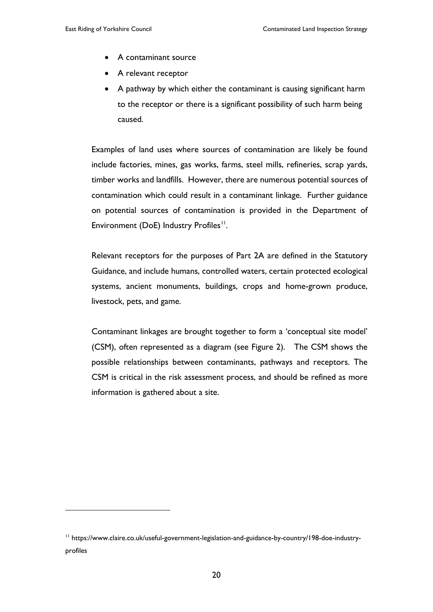$\overline{a}$ 

- A contaminant source
- A relevant receptor
- A pathway by which either the contaminant is causing significant harm to the receptor or there is a significant possibility of such harm being caused.

Examples of land uses where sources of contamination are likely be found include factories, mines, gas works, farms, steel mills, refineries, scrap yards, timber works and landfills. However, there are numerous potential sources of contamination which could result in a contaminant linkage. Further guidance on potential sources of contamination is provided in the Department of Environment (DoE) Industry Profiles<sup>11</sup>.

Relevant receptors for the purposes of Part 2A are defined in the Statutory Guidance, and include humans, controlled waters, certain protected ecological systems, ancient monuments, buildings, crops and home-grown produce, livestock, pets, and game.

Contaminant linkages are brought together to form a 'conceptual site model' (CSM), often represented as a diagram (see Figure 2). The CSM shows the possible relationships between contaminants, pathways and receptors. The CSM is critical in the risk assessment process, and should be refined as more information is gathered about a site.

<span id="page-24-0"></span><sup>11</sup> https://www.claire.co.uk/useful-government-legislation-and-guidance-by-country/198-doe-industryprofiles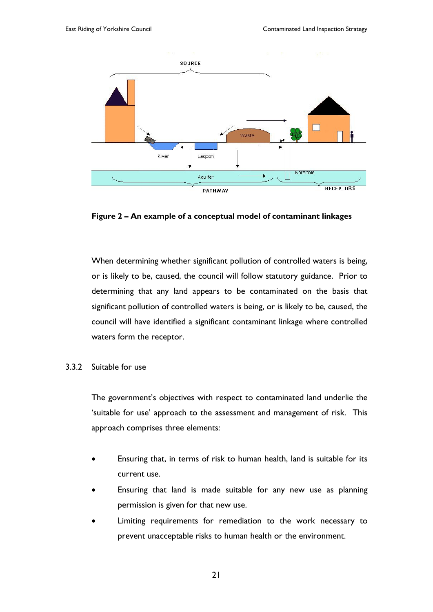

**Figure 2 – An example of a conceptual model of contaminant linkages**

When determining whether significant pollution of controlled waters is being, or is likely to be, caused, the council will follow statutory guidance. Prior to determining that any land appears to be contaminated on the basis that significant pollution of controlled waters is being, or is likely to be, caused, the council will have identified a significant contaminant linkage where controlled waters form the receptor.

#### 3.3.2 Suitable for use

The government's objectives with respect to contaminated land underlie the 'suitable for use' approach to the assessment and management of risk. This approach comprises three elements:

- Ensuring that, in terms of risk to human health, land is suitable for its current use.
- Ensuring that land is made suitable for any new use as planning permission is given for that new use.
- Limiting requirements for remediation to the work necessary to prevent unacceptable risks to human health or the environment.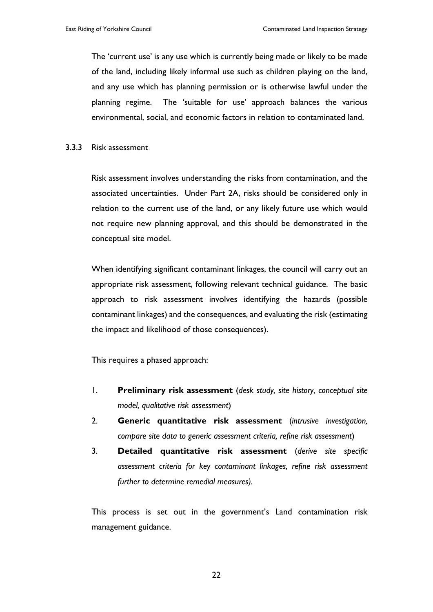The 'current use' is any use which is currently being made or likely to be made of the land, including likely informal use such as children playing on the land, and any use which has planning permission or is otherwise lawful under the planning regime. The 'suitable for use' approach balances the various environmental, social, and economic factors in relation to contaminated land.

#### 3.3.3 Risk assessment

Risk assessment involves understanding the risks from contamination, and the associated uncertainties. Under Part 2A, risks should be considered only in relation to the current use of the land, or any likely future use which would not require new planning approval, and this should be demonstrated in the conceptual site model.

When identifying significant contaminant linkages, the council will carry out an appropriate risk assessment, following relevant technical guidance. The basic approach to risk assessment involves identifying the hazards (possible contaminant linkages) and the consequences, and evaluating the risk (estimating the impact and likelihood of those consequences).

This requires a phased approach:

- 1. **Preliminary risk assessment** (*desk study, site history, conceptual site model, qualitative risk assessment*)
- 2. **Generic quantitative risk assessment** (*intrusive investigation, compare site data to generic assessment criteria, refine risk assessment*)
- 3. **Detailed quantitative risk assessment** (*derive site specific assessment criteria for key contaminant linkages, refine risk assessment further to determine remedial measures).*

This process is set out in the government's Land contamination risk management guidance.

22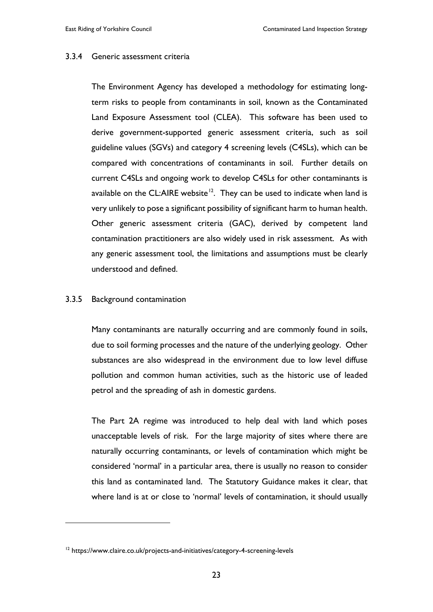#### 3.3.4 Generic assessment criteria

The Environment Agency has developed a methodology for estimating longterm risks to people from contaminants in soil, known as the Contaminated Land Exposure Assessment tool (CLEA). This software has been used to derive government-supported generic assessment criteria, such as soil guideline values (SGVs) and category 4 screening levels (C4SLs), which can be compared with concentrations of contaminants in soil. Further details on current C4SLs and ongoing work to develop C4SLs for other contaminants is available on the CL:AIRE website<sup>12</sup>. They can be used to indicate when land is very unlikely to pose a significant possibility of significant harm to human health. Other generic assessment criteria (GAC), derived by competent land contamination practitioners are also widely used in risk assessment. As with any generic assessment tool, the limitations and assumptions must be clearly understood and defined.

#### 3.3.5 Background contamination

 $\overline{a}$ 

Many contaminants are naturally occurring and are commonly found in soils, due to soil forming processes and the nature of the underlying geology. Other substances are also widespread in the environment due to low level diffuse pollution and common human activities, such as the historic use of leaded petrol and the spreading of ash in domestic gardens.

The Part 2A regime was introduced to help deal with land which poses unacceptable levels of risk. For the large majority of sites where there are naturally occurring contaminants, or levels of contamination which might be considered 'normal' in a particular area, there is usually no reason to consider this land as contaminated land. The Statutory Guidance makes it clear, that where land is at or close to 'normal' levels of contamination, it should usually

<span id="page-27-0"></span><sup>&</sup>lt;sup>12</sup> https://www.claire.co.uk/projects-and-initiatives/category-4-screening-levels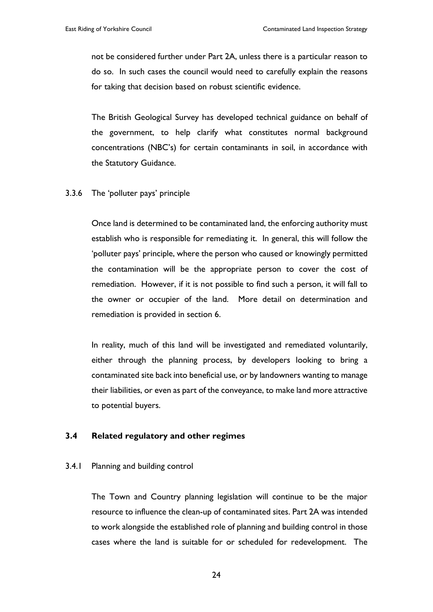not be considered further under Part 2A, unless there is a particular reason to do so. In such cases the council would need to carefully explain the reasons for taking that decision based on robust scientific evidence.

The British Geological Survey has developed technical guidance on behalf of the government, to help clarify what constitutes normal background concentrations (NBC's) for certain contaminants in soil, in accordance with the Statutory Guidance.

#### 3.3.6 The 'polluter pays' principle

Once land is determined to be contaminated land, the enforcing authority must establish who is responsible for remediating it. In general, this will follow the 'polluter pays' principle, where the person who caused or knowingly permitted the contamination will be the appropriate person to cover the cost of remediation. However, if it is not possible to find such a person, it will fall to the owner or occupier of the land. More detail on determination and remediation is provided in section 6.

In reality, much of this land will be investigated and remediated voluntarily, either through the planning process, by developers looking to bring a contaminated site back into beneficial use, or by landowners wanting to manage their liabilities, or even as part of the conveyance, to make land more attractive to potential buyers.

#### **3.4 Related regulatory and other regimes**

#### 3.4.1 Planning and building control

The Town and Country planning legislation will continue to be the major resource to influence the clean-up of contaminated sites. Part 2A was intended to work alongside the established role of planning and building control in those cases where the land is suitable for or scheduled for redevelopment. The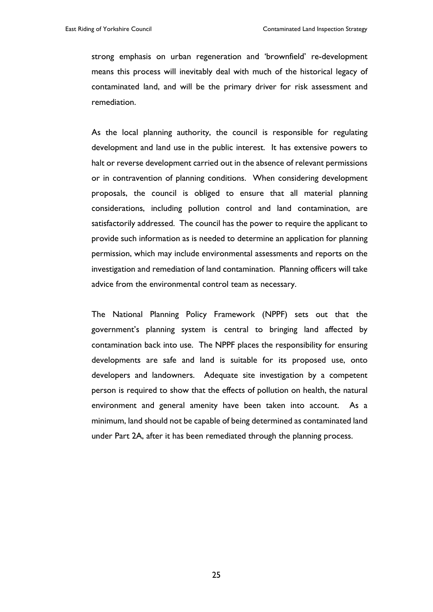strong emphasis on urban regeneration and 'brownfield' re-development means this process will inevitably deal with much of the historical legacy of contaminated land, and will be the primary driver for risk assessment and remediation.

As the local planning authority, the council is responsible for regulating development and land use in the public interest. It has extensive powers to halt or reverse development carried out in the absence of relevant permissions or in contravention of planning conditions. When considering development proposals, the council is obliged to ensure that all material planning considerations, including pollution control and land contamination, are satisfactorily addressed. The council has the power to require the applicant to provide such information as is needed to determine an application for planning permission, which may include environmental assessments and reports on the investigation and remediation of land contamination. Planning officers will take advice from the environmental control team as necessary.

The National Planning Policy Framework (NPPF) sets out that the government's planning system is central to bringing land affected by contamination back into use. The NPPF places the responsibility for ensuring developments are safe and land is suitable for its proposed use, onto developers and landowners. Adequate site investigation by a competent person is required to show that the effects of pollution on health, the natural environment and general amenity have been taken into account. As a minimum, land should not be capable of being determined as contaminated land under Part 2A, after it has been remediated through the planning process.

25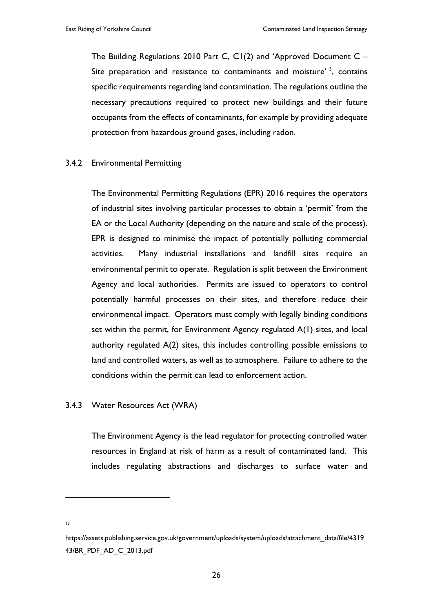The Building Regulations 2010 Part C, C1(2) and 'Approved Document C – Site preparation and resistance to contaminants and moisture'<sup>[13](#page-30-0)</sup>, contains specific requirements regarding land contamination. The regulations outline the necessary precautions required to protect new buildings and their future occupants from the effects of contaminants, for example by providing adequate protection from hazardous ground gases, including radon.

#### 3.4.2 Environmental Permitting

The Environmental Permitting Regulations (EPR) 2016 requires the operators of industrial sites involving particular processes to obtain a 'permit' from the EA or the Local Authority (depending on the nature and scale of the process). EPR is designed to minimise the impact of potentially polluting commercial activities. Many industrial installations and landfill sites require an environmental permit to operate. Regulation is split between the Environment Agency and local authorities. Permits are issued to operators to control potentially harmful processes on their sites, and therefore reduce their environmental impact. Operators must comply with legally binding conditions set within the permit, for Environment Agency regulated A(1) sites, and local authority regulated A(2) sites, this includes controlling possible emissions to land and controlled waters, as well as to atmosphere. Failure to adhere to the conditions within the permit can lead to enforcement action.

#### 3.4.3 Water Resources Act (WRA)

The Environment Agency is the lead regulator for protecting controlled water resources in England at risk of harm as a result of contaminated land. This includes regulating abstractions and discharges to surface water and

13

 $\overline{a}$ 

<span id="page-30-0"></span>https://assets.publishing.service.gov.uk/government/uploads/system/uploads/attachment\_data/file/4319 43/BR\_PDF\_AD\_C\_2013.pdf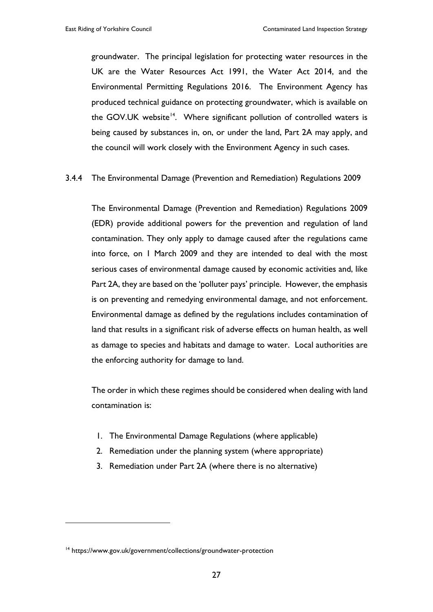groundwater. The principal legislation for protecting water resources in the UK are the Water Resources Act 1991, the Water Act 2014, and the Environmental Permitting Regulations 2016. The Environment Agency has produced technical guidance on protecting groundwater, which is available on the GOV.UK website<sup>14</sup>. Where significant pollution of controlled waters is being caused by substances in, on, or under the land, Part 2A may apply, and the council will work closely with the Environment Agency in such cases.

#### 3.4.4 The Environmental Damage (Prevention and Remediation) Regulations 2009

The Environmental Damage (Prevention and Remediation) Regulations 2009 (EDR) provide additional powers for the prevention and regulation of land contamination. They only apply to damage caused after the regulations came into force, on 1 March 2009 and they are intended to deal with the most serious cases of environmental damage caused by economic activities and, like Part 2A, they are based on the 'polluter pays' principle. However, the emphasis is on preventing and remedying environmental damage, and not enforcement. Environmental damage as defined by the regulations includes contamination of land that results in a significant risk of adverse effects on human health, as well as damage to species and habitats and damage to water. Local authorities are the enforcing authority for damage to land.

The order in which these regimes should be considered when dealing with land contamination is:

- 1. The Environmental Damage Regulations (where applicable)
- 2. Remediation under the planning system (where appropriate)
- 3. Remediation under Part 2A (where there is no alternative)

 $\overline{a}$ 

<span id="page-31-0"></span><sup>&</sup>lt;sup>14</sup> https://www.gov.uk/government/collections/groundwater-protection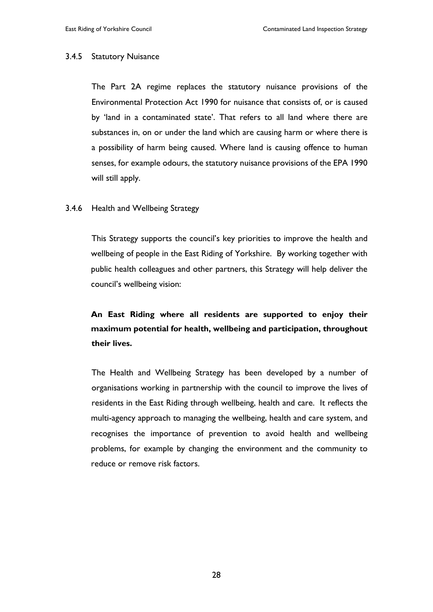#### 3.4.5 Statutory Nuisance

The Part 2A regime replaces the statutory nuisance provisions of the Environmental Protection Act 1990 for nuisance that consists of, or is caused by 'land in a contaminated state'. That refers to all land where there are substances in, on or under the land which are causing harm or where there is a possibility of harm being caused. Where land is causing offence to human senses, for example odours, the statutory nuisance provisions of the EPA 1990 will still apply.

#### 3.4.6 Health and Wellbeing Strategy

This Strategy supports the council's key priorities to improve the health and wellbeing of people in the East Riding of Yorkshire. By working together with public health colleagues and other partners, this Strategy will help deliver the council's wellbeing vision:

# **An East Riding where all residents are supported to enjoy their maximum potential for health, wellbeing and participation, throughout their lives.**

The Health and Wellbeing Strategy has been developed by a number of organisations working in partnership with the council to improve the lives of residents in the East Riding through wellbeing, health and care. It reflects the multi-agency approach to managing the wellbeing, health and care system, and recognises the importance of prevention to avoid health and wellbeing problems, for example by changing the environment and the community to reduce or remove risk factors.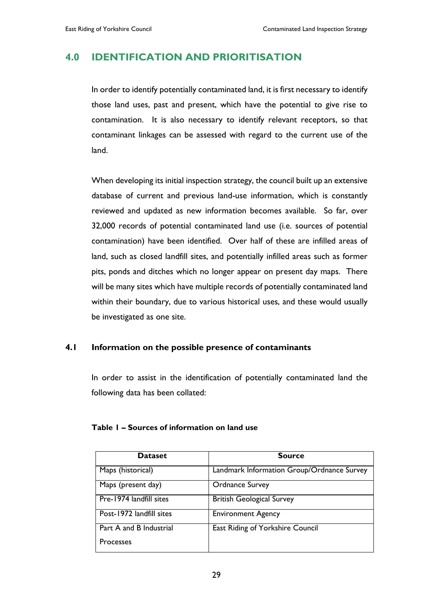# **4.0 IDENTIFICATION AND PRIORITISATION**

In order to identify potentially contaminated land, it is first necessary to identify those land uses, past and present, which have the potential to give rise to contamination. It is also necessary to identify relevant receptors, so that contaminant linkages can be assessed with regard to the current use of the land.

When developing its initial inspection strategy, the council built up an extensive database of current and previous land-use information, which is constantly reviewed and updated as new information becomes available. So far, over 32,000 records of potential contaminated land use (i.e. sources of potential contamination) have been identified. Over half of these are infilled areas of land, such as closed landfill sites, and potentially infilled areas such as former pits, ponds and ditches which no longer appear on present day maps. There will be many sites which have multiple records of potentially contaminated land within their boundary, due to various historical uses, and these would usually be investigated as one site.

#### **4.1 Information on the possible presence of contaminants**

In order to assist in the identification of potentially contaminated land the following data has been collated:

| <b>Dataset</b>           | <b>Source</b>                              |
|--------------------------|--------------------------------------------|
| Maps (historical)        | Landmark Information Group/Ordnance Survey |
| Maps (present day)       | <b>Ordnance Survey</b>                     |
| Pre-1974 landfill sites  | <b>British Geological Survey</b>           |
| Post-1972 landfill sites | <b>Environment Agency</b>                  |
| Part A and B Industrial  | East Riding of Yorkshire Council           |
| <b>Processes</b>         |                                            |

#### **Table 1 – Sources of information on land use**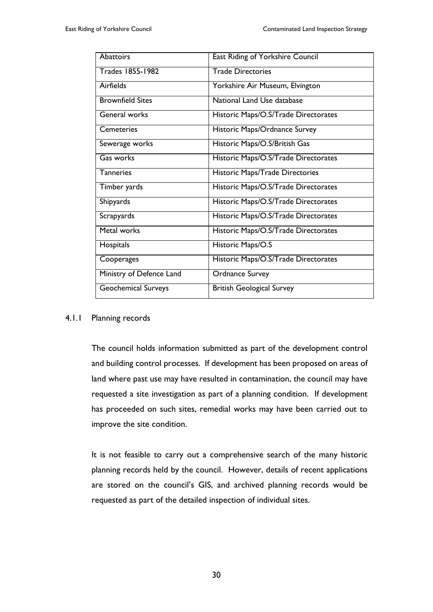| <b>Abattoirs</b>           | East Riding of Yorkshire Council     |
|----------------------------|--------------------------------------|
| <b>Trades 1855-1982</b>    | <b>Trade Directories</b>             |
| Airfields                  | Yorkshire Air Museum, Elvington      |
| <b>Brownfield Sites</b>    | National Land Use database           |
| General works              | Historic Maps/O.S/Trade Directorates |
| Cemeteries                 | Historic Maps/Ordnance Survey        |
| Sewerage works             | Historic Maps/O.S/British Gas        |
| Gas works                  | Historic Maps/O.S/Trade Directorates |
| <b>Tanneries</b>           | Historic Maps/Trade Directories      |
| Timber yards               | Historic Maps/O.S/Trade Directorates |
| Shipyards                  | Historic Maps/O.S/Trade Directorates |
| Scrapyards                 | Historic Maps/O.S/Trade Directorates |
| Metal works                | Historic Maps/O.S/Trade Directorates |
| Hospitals                  | Historic Maps/O.S                    |
| Cooperages                 | Historic Maps/O.S/Trade Directorates |
| Ministry of Defence Land   | <b>Ordnance Survey</b>               |
| <b>Geochemical Surveys</b> | <b>British Geological Survey</b>     |

#### 4.1.1 Planning records

The council holds information submitted as part of the development control and building control processes. If development has been proposed on areas of land where past use may have resulted in contamination, the council may have requested a site investigation as part of a planning condition. If development has proceeded on such sites, remedial works may have been carried out to improve the site condition.

It is not feasible to carry out a comprehensive search of the many historic planning records held by the council. However, details of recent applications are stored on the council's GIS, and archived planning records would be requested as part of the detailed inspection of individual sites.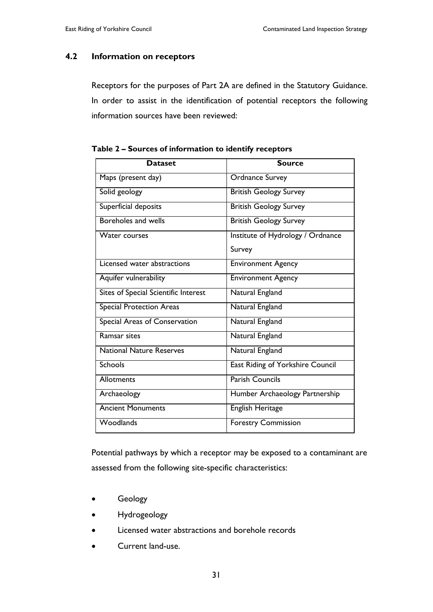#### **4.2 Information on receptors**

Receptors for the purposes of Part 2A are defined in the Statutory Guidance. In order to assist in the identification of potential receptors the following information sources have been reviewed:

| <b>Dataset</b>                       | <b>Source</b>                     |
|--------------------------------------|-----------------------------------|
| Maps (present day)                   | <b>Ordnance Survey</b>            |
| Solid geology                        | <b>British Geology Survey</b>     |
| Superficial deposits                 | <b>British Geology Survey</b>     |
| Boreholes and wells                  | <b>British Geology Survey</b>     |
| <b>Water courses</b>                 | Institute of Hydrology / Ordnance |
|                                      | Survey                            |
| Licensed water abstractions          | <b>Environment Agency</b>         |
| Aquifer vulnerability                | <b>Environment Agency</b>         |
| Sites of Special Scientific Interest | Natural England                   |
| <b>Special Protection Areas</b>      | Natural England                   |
| Special Areas of Conservation        | Natural England                   |
| Ramsar sites                         | Natural England                   |
| <b>National Nature Reserves</b>      | Natural England                   |
| <b>Schools</b>                       | East Riding of Yorkshire Council  |
| <b>Allotments</b>                    | <b>Parish Councils</b>            |
| Archaeology                          | Humber Archaeology Partnership    |
| <b>Ancient Monuments</b>             | English Heritage                  |
| Woodlands                            | <b>Forestry Commission</b>        |

**Table 2 – Sources of information to identify receptors**

Potential pathways by which a receptor may be exposed to a contaminant are assessed from the following site-specific characteristics:

- Geology
- Hydrogeology
- Licensed water abstractions and borehole records
- Current land-use.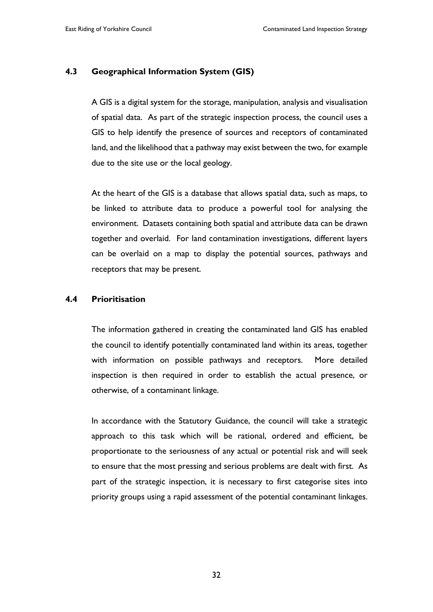#### **4.3 Geographical Information System (GIS)**

A GIS is a digital system for the storage, manipulation, analysis and visualisation of spatial data. As part of the strategic inspection process, the council uses a GIS to help identify the presence of sources and receptors of contaminated land, and the likelihood that a pathway may exist between the two, for example due to the site use or the local geology.

At the heart of the GIS is a database that allows spatial data, such as maps, to be linked to attribute data to produce a powerful tool for analysing the environment. Datasets containing both spatial and attribute data can be drawn together and overlaid. For land contamination investigations, different layers can be overlaid on a map to display the potential sources, pathways and receptors that may be present.

#### **4.4 Prioritisation**

The information gathered in creating the contaminated land GIS has enabled the council to identify potentially contaminated land within its areas, together with information on possible pathways and receptors. More detailed inspection is then required in order to establish the actual presence, or otherwise, of a contaminant linkage.

In accordance with the Statutory Guidance, the council will take a strategic approach to this task which will be rational, ordered and efficient, be proportionate to the seriousness of any actual or potential risk and will seek to ensure that the most pressing and serious problems are dealt with first. As part of the strategic inspection, it is necessary to first categorise sites into priority groups using a rapid assessment of the potential contaminant linkages.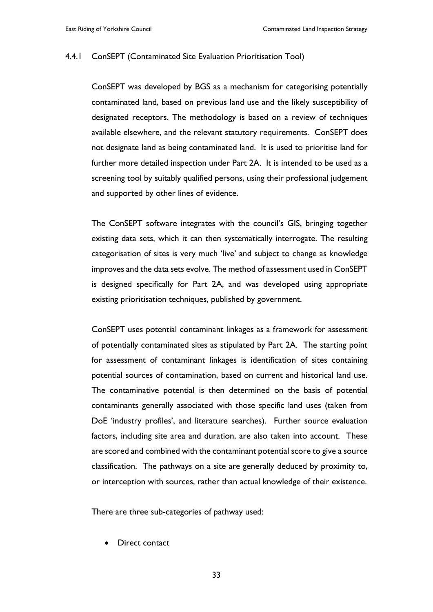#### 4.4.1 ConSEPT (Contaminated Site Evaluation Prioritisation Tool)

ConSEPT was developed by BGS as a mechanism for categorising potentially contaminated land, based on previous land use and the likely susceptibility of designated receptors. The methodology is based on a review of techniques available elsewhere, and the relevant statutory requirements. ConSEPT does not designate land as being contaminated land. It is used to prioritise land for further more detailed inspection under Part 2A. It is intended to be used as a screening tool by suitably qualified persons, using their professional judgement and supported by other lines of evidence.

The ConSEPT software integrates with the council's GIS, bringing together existing data sets, which it can then systematically interrogate. The resulting categorisation of sites is very much 'live' and subject to change as knowledge improves and the data sets evolve. The method of assessment used in ConSEPT is designed specifically for Part 2A, and was developed using appropriate existing prioritisation techniques, published by government.

ConSEPT uses potential contaminant linkages as a framework for assessment of potentially contaminated sites as stipulated by Part 2A. The starting point for assessment of contaminant linkages is identification of sites containing potential sources of contamination, based on current and historical land use. The contaminative potential is then determined on the basis of potential contaminants generally associated with those specific land uses (taken from DoE 'industry profiles', and literature searches). Further source evaluation factors, including site area and duration, are also taken into account. These are scored and combined with the contaminant potential score to give a source classification. The pathways on a site are generally deduced by proximity to, or interception with sources, rather than actual knowledge of their existence.

There are three sub-categories of pathway used:

Direct contact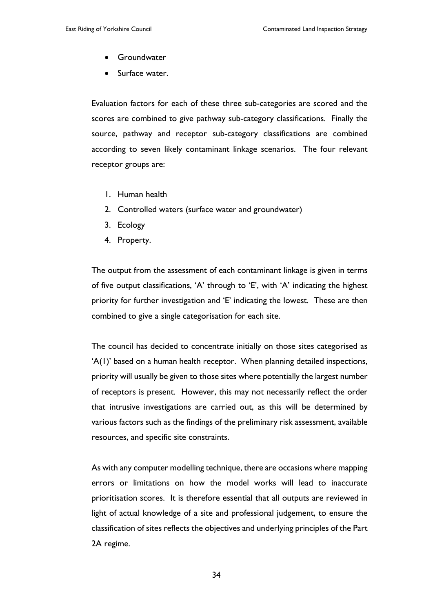- Groundwater
- Surface water.

Evaluation factors for each of these three sub-categories are scored and the scores are combined to give pathway sub-category classifications. Finally the source, pathway and receptor sub-category classifications are combined according to seven likely contaminant linkage scenarios. The four relevant receptor groups are:

- 1. Human health
- 2. Controlled waters (surface water and groundwater)
- 3. Ecology
- 4. Property.

The output from the assessment of each contaminant linkage is given in terms of five output classifications, 'A' through to 'E', with 'A' indicating the highest priority for further investigation and 'E' indicating the lowest. These are then combined to give a single categorisation for each site.

The council has decided to concentrate initially on those sites categorised as 'A(1)' based on a human health receptor. When planning detailed inspections, priority will usually be given to those sites where potentially the largest number of receptors is present. However, this may not necessarily reflect the order that intrusive investigations are carried out, as this will be determined by various factors such as the findings of the preliminary risk assessment, available resources, and specific site constraints.

As with any computer modelling technique, there are occasions where mapping errors or limitations on how the model works will lead to inaccurate prioritisation scores. It is therefore essential that all outputs are reviewed in light of actual knowledge of a site and professional judgement, to ensure the classification of sites reflects the objectives and underlying principles of the Part 2A regime.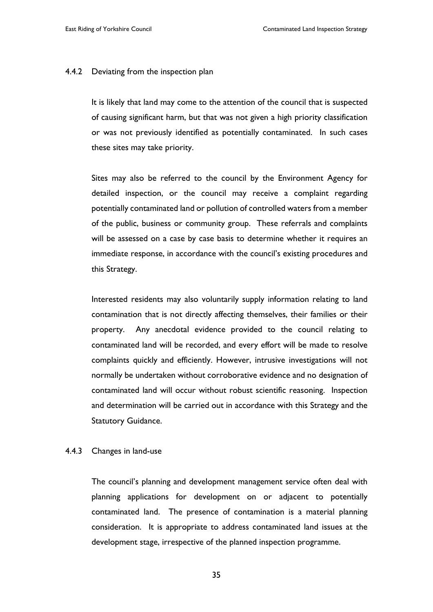#### 4.4.2 Deviating from the inspection plan

It is likely that land may come to the attention of the council that is suspected of causing significant harm, but that was not given a high priority classification or was not previously identified as potentially contaminated. In such cases these sites may take priority.

Sites may also be referred to the council by the Environment Agency for detailed inspection, or the council may receive a complaint regarding potentially contaminated land or pollution of controlled waters from a member of the public, business or community group. These referrals and complaints will be assessed on a case by case basis to determine whether it requires an immediate response, in accordance with the council's existing procedures and this Strategy.

Interested residents may also voluntarily supply information relating to land contamination that is not directly affecting themselves, their families or their property. Any anecdotal evidence provided to the council relating to contaminated land will be recorded, and every effort will be made to resolve complaints quickly and efficiently. However, intrusive investigations will not normally be undertaken without corroborative evidence and no designation of contaminated land will occur without robust scientific reasoning. Inspection and determination will be carried out in accordance with this Strategy and the Statutory Guidance.

#### 4.4.3 Changes in land-use

The council's planning and development management service often deal with planning applications for development on or adjacent to potentially contaminated land. The presence of contamination is a material planning consideration. It is appropriate to address contaminated land issues at the development stage, irrespective of the planned inspection programme.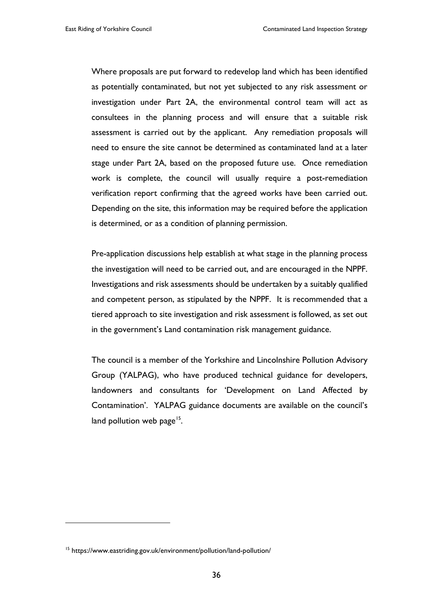Where proposals are put forward to redevelop land which has been identified as potentially contaminated, but not yet subjected to any risk assessment or investigation under Part 2A, the environmental control team will act as consultees in the planning process and will ensure that a suitable risk assessment is carried out by the applicant. Any remediation proposals will need to ensure the site cannot be determined as contaminated land at a later stage under Part 2A, based on the proposed future use. Once remediation work is complete, the council will usually require a post-remediation verification report confirming that the agreed works have been carried out. Depending on the site, this information may be required before the application is determined, or as a condition of planning permission.

Pre-application discussions help establish at what stage in the planning process the investigation will need to be carried out, and are encouraged in the NPPF. Investigations and risk assessments should be undertaken by a suitably qualified and competent person, as stipulated by the NPPF. It is recommended that a tiered approach to site investigation and risk assessment is followed, as set out in the government's Land contamination risk management guidance.

The council is a member of the Yorkshire and Lincolnshire Pollution Advisory Group (YALPAG), who have produced technical guidance for developers, landowners and consultants for 'Development on Land Affected by Contamination'. YALPAG guidance documents are available on the council's land pollution web page<sup>15</sup>.

 $\overline{a}$ 

<span id="page-40-0"></span><sup>15</sup> https://www.eastriding.gov.uk/environment/pollution/land-pollution/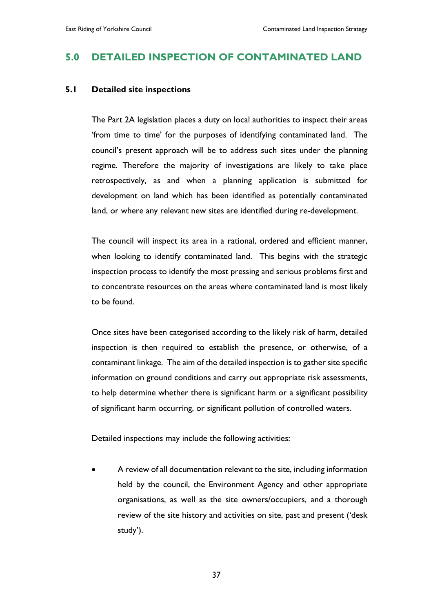# **5.0 DETAILED INSPECTION OF CONTAMINATED LAND**

#### **5.1 Detailed site inspections**

The Part 2A legislation places a duty on local authorities to inspect their areas 'from time to time' for the purposes of identifying contaminated land. The council's present approach will be to address such sites under the planning regime. Therefore the majority of investigations are likely to take place retrospectively, as and when a planning application is submitted for development on land which has been identified as potentially contaminated land, or where any relevant new sites are identified during re-development.

The council will inspect its area in a rational, ordered and efficient manner, when looking to identify contaminated land. This begins with the strategic inspection process to identify the most pressing and serious problems first and to concentrate resources on the areas where contaminated land is most likely to be found.

Once sites have been categorised according to the likely risk of harm, detailed inspection is then required to establish the presence, or otherwise, of a contaminant linkage. The aim of the detailed inspection is to gather site specific information on ground conditions and carry out appropriate risk assessments, to help determine whether there is significant harm or a significant possibility of significant harm occurring, or significant pollution of controlled waters.

Detailed inspections may include the following activities:

• A review of all documentation relevant to the site, including information held by the council, the Environment Agency and other appropriate organisations, as well as the site owners/occupiers, and a thorough review of the site history and activities on site, past and present ('desk study').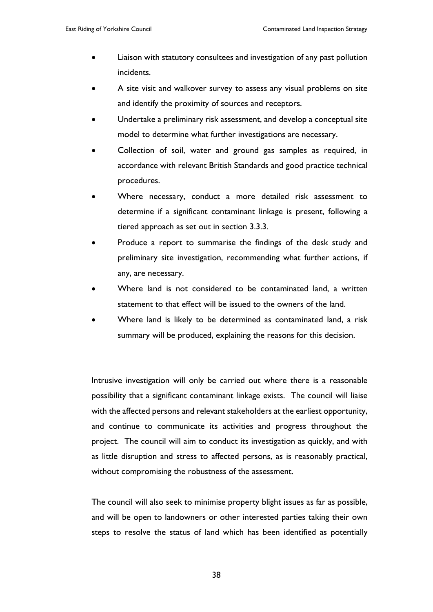- Liaison with statutory consultees and investigation of any past pollution incidents.
- A site visit and walkover survey to assess any visual problems on site and identify the proximity of sources and receptors.
- Undertake a preliminary risk assessment, and develop a conceptual site model to determine what further investigations are necessary.
- Collection of soil, water and ground gas samples as required, in accordance with relevant British Standards and good practice technical procedures.
- Where necessary, conduct a more detailed risk assessment to determine if a significant contaminant linkage is present, following a tiered approach as set out in section 3.3.3.
- Produce a report to summarise the findings of the desk study and preliminary site investigation, recommending what further actions, if any, are necessary.
- Where land is not considered to be contaminated land, a written statement to that effect will be issued to the owners of the land.
- Where land is likely to be determined as contaminated land, a risk summary will be produced, explaining the reasons for this decision.

Intrusive investigation will only be carried out where there is a reasonable possibility that a significant contaminant linkage exists. The council will liaise with the affected persons and relevant stakeholders at the earliest opportunity, and continue to communicate its activities and progress throughout the project. The council will aim to conduct its investigation as quickly, and with as little disruption and stress to affected persons, as is reasonably practical, without compromising the robustness of the assessment.

The council will also seek to minimise property blight issues as far as possible, and will be open to landowners or other interested parties taking their own steps to resolve the status of land which has been identified as potentially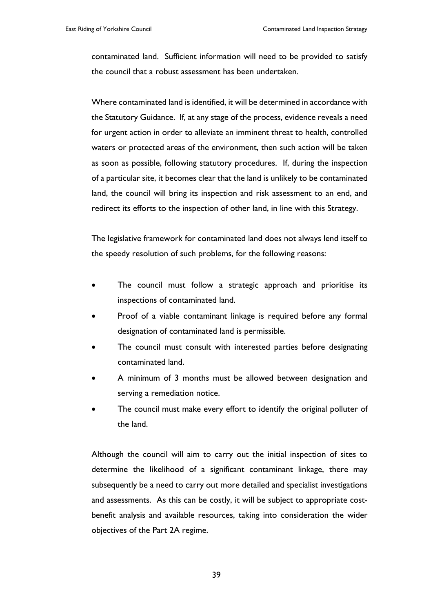contaminated land. Sufficient information will need to be provided to satisfy the council that a robust assessment has been undertaken.

Where contaminated land is identified, it will be determined in accordance with the Statutory Guidance. If, at any stage of the process, evidence reveals a need for urgent action in order to alleviate an imminent threat to health, controlled waters or protected areas of the environment, then such action will be taken as soon as possible, following statutory procedures. If, during the inspection of a particular site, it becomes clear that the land is unlikely to be contaminated land, the council will bring its inspection and risk assessment to an end, and redirect its efforts to the inspection of other land, in line with this Strategy.

The legislative framework for contaminated land does not always lend itself to the speedy resolution of such problems, for the following reasons:

- The council must follow a strategic approach and prioritise its inspections of contaminated land.
- Proof of a viable contaminant linkage is required before any formal designation of contaminated land is permissible.
- The council must consult with interested parties before designating contaminated land.
- A minimum of 3 months must be allowed between designation and serving a remediation notice.
- The council must make every effort to identify the original polluter of the land.

Although the council will aim to carry out the initial inspection of sites to determine the likelihood of a significant contaminant linkage, there may subsequently be a need to carry out more detailed and specialist investigations and assessments. As this can be costly, it will be subject to appropriate costbenefit analysis and available resources, taking into consideration the wider objectives of the Part 2A regime.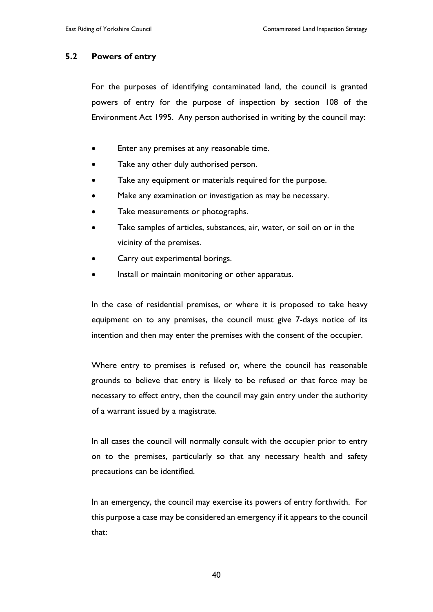#### **5.2 Powers of entry**

For the purposes of identifying contaminated land, the council is granted powers of entry for the purpose of inspection by section 108 of the Environment Act 1995. Any person authorised in writing by the council may:

- Enter any premises at any reasonable time.
- Take any other duly authorised person.
- Take any equipment or materials required for the purpose.
- Make any examination or investigation as may be necessary.
- Take measurements or photographs.
- Take samples of articles, substances, air, water, or soil on or in the vicinity of the premises.
- Carry out experimental borings.
- Install or maintain monitoring or other apparatus.

In the case of residential premises, or where it is proposed to take heavy equipment on to any premises, the council must give 7-days notice of its intention and then may enter the premises with the consent of the occupier.

Where entry to premises is refused or, where the council has reasonable grounds to believe that entry is likely to be refused or that force may be necessary to effect entry, then the council may gain entry under the authority of a warrant issued by a magistrate.

In all cases the council will normally consult with the occupier prior to entry on to the premises, particularly so that any necessary health and safety precautions can be identified.

In an emergency, the council may exercise its powers of entry forthwith. For this purpose a case may be considered an emergency if it appears to the council that: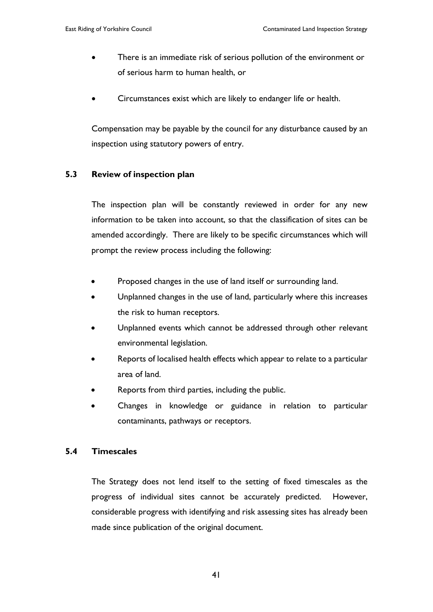- There is an immediate risk of serious pollution of the environment or of serious harm to human health, or
- Circumstances exist which are likely to endanger life or health.

Compensation may be payable by the council for any disturbance caused by an inspection using statutory powers of entry.

#### **5.3 Review of inspection plan**

The inspection plan will be constantly reviewed in order for any new information to be taken into account, so that the classification of sites can be amended accordingly. There are likely to be specific circumstances which will prompt the review process including the following:

- Proposed changes in the use of land itself or surrounding land.
- Unplanned changes in the use of land, particularly where this increases the risk to human receptors.
- Unplanned events which cannot be addressed through other relevant environmental legislation.
- Reports of localised health effects which appear to relate to a particular area of land.
- Reports from third parties, including the public.
- Changes in knowledge or guidance in relation to particular contaminants, pathways or receptors.

#### **5.4 Timescales**

The Strategy does not lend itself to the setting of fixed timescales as the progress of individual sites cannot be accurately predicted. However, considerable progress with identifying and risk assessing sites has already been made since publication of the original document.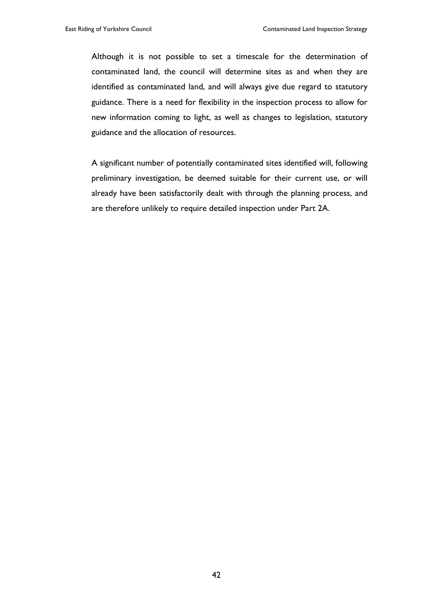Although it is not possible to set a timescale for the determination of contaminated land, the council will determine sites as and when they are identified as contaminated land, and will always give due regard to statutory guidance. There is a need for flexibility in the inspection process to allow for new information coming to light, as well as changes to legislation, statutory guidance and the allocation of resources.

A significant number of potentially contaminated sites identified will, following preliminary investigation, be deemed suitable for their current use, or will already have been satisfactorily dealt with through the planning process, and are therefore unlikely to require detailed inspection under Part 2A.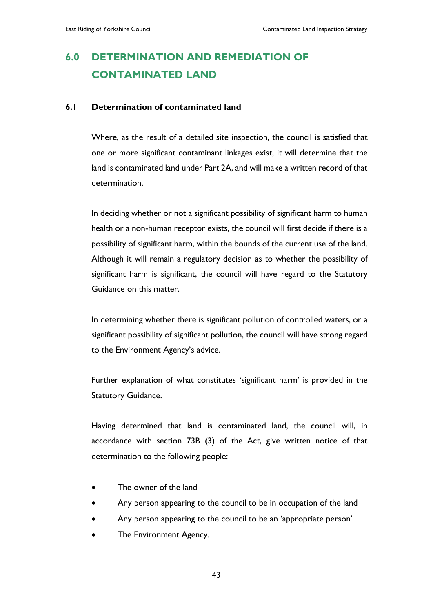# **6.0 DETERMINATION AND REMEDIATION OF CONTAMINATED LAND**

#### **6.1 Determination of contaminated land**

Where, as the result of a detailed site inspection, the council is satisfied that one or more significant contaminant linkages exist, it will determine that the land is contaminated land under Part 2A, and will make a written record of that determination.

In deciding whether or not a significant possibility of significant harm to human health or a non-human receptor exists, the council will first decide if there is a possibility of significant harm, within the bounds of the current use of the land. Although it will remain a regulatory decision as to whether the possibility of significant harm is significant, the council will have regard to the Statutory Guidance on this matter.

In determining whether there is significant pollution of controlled waters, or a significant possibility of significant pollution, the council will have strong regard to the Environment Agency's advice.

Further explanation of what constitutes 'significant harm' is provided in the Statutory Guidance.

Having determined that land is contaminated land, the council will, in accordance with section 73B (3) of the Act, give written notice of that determination to the following people:

- The owner of the land
- Any person appearing to the council to be in occupation of the land
- Any person appearing to the council to be an 'appropriate person'
- The Environment Agency.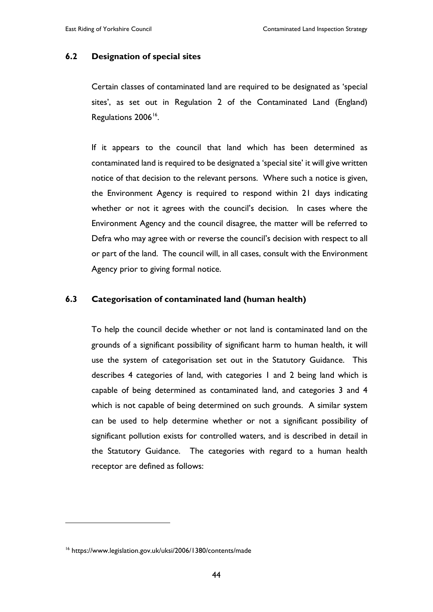#### **6.2 Designation of special sites**

Certain classes of contaminated land are required to be designated as 'special sites', as set out in Regulation 2 of the Contaminated Land (England) Regulations 2006<sup>[16](#page-48-0)</sup>.

If it appears to the council that land which has been determined as contaminated land is required to be designated a 'special site' it will give written notice of that decision to the relevant persons. Where such a notice is given, the Environment Agency is required to respond within 21 days indicating whether or not it agrees with the council's decision. In cases where the Environment Agency and the council disagree, the matter will be referred to Defra who may agree with or reverse the council's decision with respect to all or part of the land. The council will, in all cases, consult with the Environment Agency prior to giving formal notice.

#### **6.3 Categorisation of contaminated land (human health)**

To help the council decide whether or not land is contaminated land on the grounds of a significant possibility of significant harm to human health, it will use the system of categorisation set out in the Statutory Guidance. This describes 4 categories of land, with categories 1 and 2 being land which is capable of being determined as contaminated land, and categories 3 and 4 which is not capable of being determined on such grounds. A similar system can be used to help determine whether or not a significant possibility of significant pollution exists for controlled waters, and is described in detail in the Statutory Guidance. The categories with regard to a human health receptor are defined as follows:

 $\overline{a}$ 

<span id="page-48-0"></span><sup>16</sup> https://www.legislation.gov.uk/uksi/2006/1380/contents/made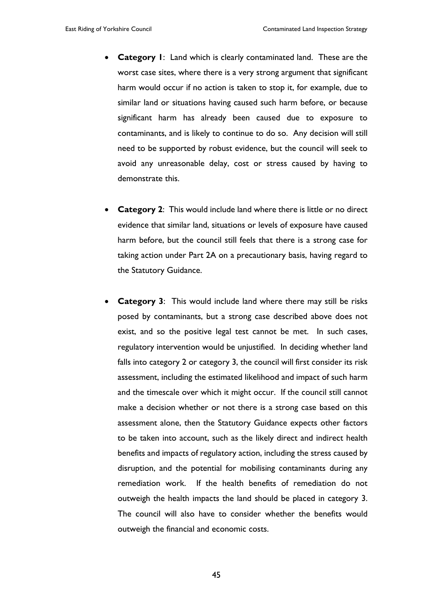- **Category 1**: Land which is clearly contaminated land. These are the worst case sites, where there is a very strong argument that significant harm would occur if no action is taken to stop it, for example, due to similar land or situations having caused such harm before, or because significant harm has already been caused due to exposure to contaminants, and is likely to continue to do so. Any decision will still need to be supported by robust evidence, but the council will seek to avoid any unreasonable delay, cost or stress caused by having to demonstrate this.
- **Category 2:** This would include land where there is little or no direct evidence that similar land, situations or levels of exposure have caused harm before, but the council still feels that there is a strong case for taking action under Part 2A on a precautionary basis, having regard to the Statutory Guidance.
- **Category 3:** This would include land where there may still be risks posed by contaminants, but a strong case described above does not exist, and so the positive legal test cannot be met. In such cases, regulatory intervention would be unjustified. In deciding whether land falls into category 2 or category 3, the council will first consider its risk assessment, including the estimated likelihood and impact of such harm and the timescale over which it might occur. If the council still cannot make a decision whether or not there is a strong case based on this assessment alone, then the Statutory Guidance expects other factors to be taken into account, such as the likely direct and indirect health benefits and impacts of regulatory action, including the stress caused by disruption, and the potential for mobilising contaminants during any remediation work. If the health benefits of remediation do not outweigh the health impacts the land should be placed in category 3. The council will also have to consider whether the benefits would outweigh the financial and economic costs.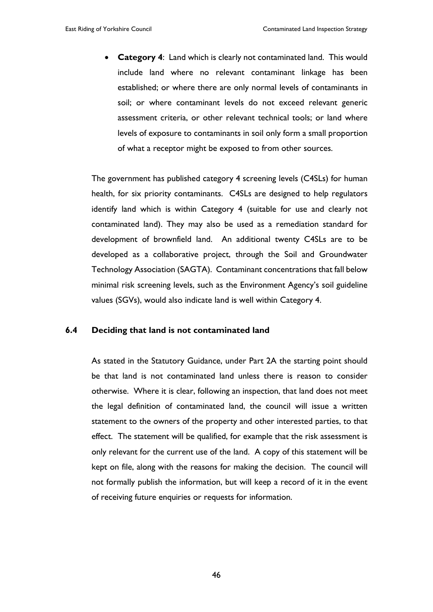• **Category 4**: Land which is clearly not contaminated land. This would include land where no relevant contaminant linkage has been established; or where there are only normal levels of contaminants in soil; or where contaminant levels do not exceed relevant generic assessment criteria, or other relevant technical tools; or land where levels of exposure to contaminants in soil only form a small proportion of what a receptor might be exposed to from other sources.

The government has published category 4 screening levels (C4SLs) for human health, for six priority contaminants. C4SLs are designed to help regulators identify land which is within Category 4 (suitable for use and clearly not contaminated land). They may also be used as a remediation standard for development of brownfield land. An additional twenty C4SLs are to be developed as a collaborative project, through the Soil and Groundwater Technology Association (SAGTA). Contaminant concentrations that fall below minimal risk screening levels, such as the Environment Agency's soil guideline values (SGVs), would also indicate land is well within Category 4.

#### **6.4 Deciding that land is not contaminated land**

As stated in the Statutory Guidance, under Part 2A the starting point should be that land is not contaminated land unless there is reason to consider otherwise. Where it is clear, following an inspection, that land does not meet the legal definition of contaminated land, the council will issue a written statement to the owners of the property and other interested parties, to that effect. The statement will be qualified, for example that the risk assessment is only relevant for the current use of the land. A copy of this statement will be kept on file, along with the reasons for making the decision. The council will not formally publish the information, but will keep a record of it in the event of receiving future enquiries or requests for information.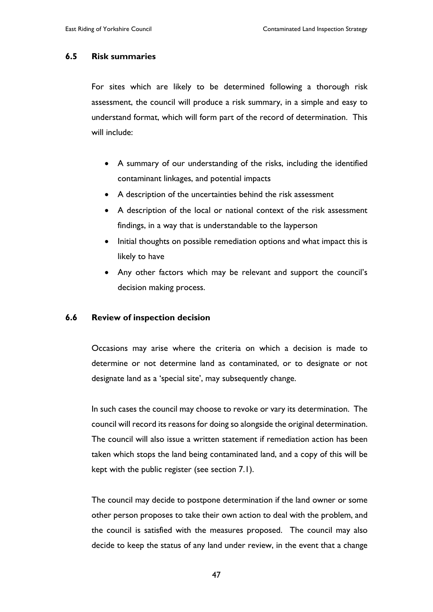#### **6.5 Risk summaries**

For sites which are likely to be determined following a thorough risk assessment, the council will produce a risk summary, in a simple and easy to understand format, which will form part of the record of determination. This will include:

- A summary of our understanding of the risks, including the identified contaminant linkages, and potential impacts
- A description of the uncertainties behind the risk assessment
- A description of the local or national context of the risk assessment findings, in a way that is understandable to the layperson
- Initial thoughts on possible remediation options and what impact this is likely to have
- Any other factors which may be relevant and support the council's decision making process.

#### **6.6 Review of inspection decision**

Occasions may arise where the criteria on which a decision is made to determine or not determine land as contaminated, or to designate or not designate land as a 'special site', may subsequently change.

In such cases the council may choose to revoke or vary its determination. The council will record its reasons for doing so alongside the original determination. The council will also issue a written statement if remediation action has been taken which stops the land being contaminated land, and a copy of this will be kept with the public register (see section 7.1).

The council may decide to postpone determination if the land owner or some other person proposes to take their own action to deal with the problem, and the council is satisfied with the measures proposed. The council may also decide to keep the status of any land under review, in the event that a change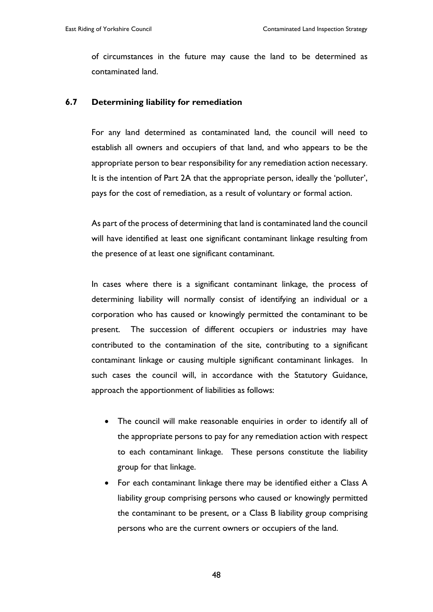of circumstances in the future may cause the land to be determined as contaminated land.

#### **6.7 Determining liability for remediation**

For any land determined as contaminated land, the council will need to establish all owners and occupiers of that land, and who appears to be the appropriate person to bear responsibility for any remediation action necessary. It is the intention of Part 2A that the appropriate person, ideally the 'polluter', pays for the cost of remediation, as a result of voluntary or formal action.

As part of the process of determining that land is contaminated land the council will have identified at least one significant contaminant linkage resulting from the presence of at least one significant contaminant.

In cases where there is a significant contaminant linkage, the process of determining liability will normally consist of identifying an individual or a corporation who has caused or knowingly permitted the contaminant to be present. The succession of different occupiers or industries may have contributed to the contamination of the site, contributing to a significant contaminant linkage or causing multiple significant contaminant linkages. In such cases the council will, in accordance with the Statutory Guidance, approach the apportionment of liabilities as follows:

- The council will make reasonable enquiries in order to identify all of the appropriate persons to pay for any remediation action with respect to each contaminant linkage. These persons constitute the liability group for that linkage.
- For each contaminant linkage there may be identified either a Class A liability group comprising persons who caused or knowingly permitted the contaminant to be present, or a Class B liability group comprising persons who are the current owners or occupiers of the land.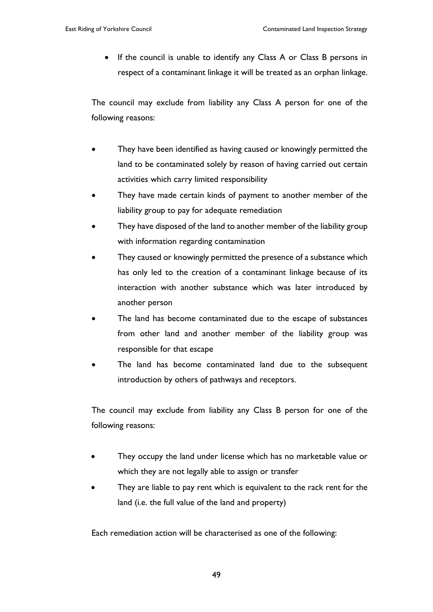• If the council is unable to identify any Class A or Class B persons in respect of a contaminant linkage it will be treated as an orphan linkage.

The council may exclude from liability any Class A person for one of the following reasons:

- They have been identified as having caused or knowingly permitted the land to be contaminated solely by reason of having carried out certain activities which carry limited responsibility
- They have made certain kinds of payment to another member of the liability group to pay for adequate remediation
- They have disposed of the land to another member of the liability group with information regarding contamination
- They caused or knowingly permitted the presence of a substance which has only led to the creation of a contaminant linkage because of its interaction with another substance which was later introduced by another person
- The land has become contaminated due to the escape of substances from other land and another member of the liability group was responsible for that escape
- The land has become contaminated land due to the subsequent introduction by others of pathways and receptors.

The council may exclude from liability any Class B person for one of the following reasons:

- They occupy the land under license which has no marketable value or which they are not legally able to assign or transfer
- They are liable to pay rent which is equivalent to the rack rent for the land (i.e. the full value of the land and property)

Each remediation action will be characterised as one of the following: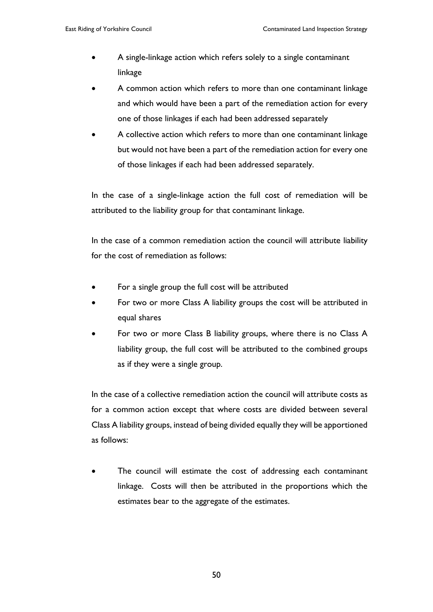- A single-linkage action which refers solely to a single contaminant linkage
- A common action which refers to more than one contaminant linkage and which would have been a part of the remediation action for every one of those linkages if each had been addressed separately
- A collective action which refers to more than one contaminant linkage but would not have been a part of the remediation action for every one of those linkages if each had been addressed separately.

In the case of a single-linkage action the full cost of remediation will be attributed to the liability group for that contaminant linkage.

In the case of a common remediation action the council will attribute liability for the cost of remediation as follows:

- For a single group the full cost will be attributed
- For two or more Class A liability groups the cost will be attributed in equal shares
- For two or more Class B liability groups, where there is no Class A liability group, the full cost will be attributed to the combined groups as if they were a single group.

In the case of a collective remediation action the council will attribute costs as for a common action except that where costs are divided between several Class A liability groups, instead of being divided equally they will be apportioned as follows:

The council will estimate the cost of addressing each contaminant linkage. Costs will then be attributed in the proportions which the estimates bear to the aggregate of the estimates.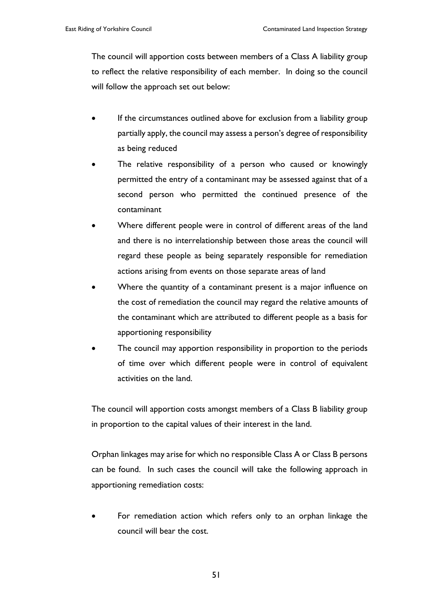The council will apportion costs between members of a Class A liability group to reflect the relative responsibility of each member. In doing so the council will follow the approach set out below:

- If the circumstances outlined above for exclusion from a liability group partially apply, the council may assess a person's degree of responsibility as being reduced
- The relative responsibility of a person who caused or knowingly permitted the entry of a contaminant may be assessed against that of a second person who permitted the continued presence of the contaminant
- Where different people were in control of different areas of the land and there is no interrelationship between those areas the council will regard these people as being separately responsible for remediation actions arising from events on those separate areas of land
- Where the quantity of a contaminant present is a major influence on the cost of remediation the council may regard the relative amounts of the contaminant which are attributed to different people as a basis for apportioning responsibility
- The council may apportion responsibility in proportion to the periods of time over which different people were in control of equivalent activities on the land.

The council will apportion costs amongst members of a Class B liability group in proportion to the capital values of their interest in the land.

Orphan linkages may arise for which no responsible Class A or Class B persons can be found. In such cases the council will take the following approach in apportioning remediation costs:

For remediation action which refers only to an orphan linkage the council will bear the cost.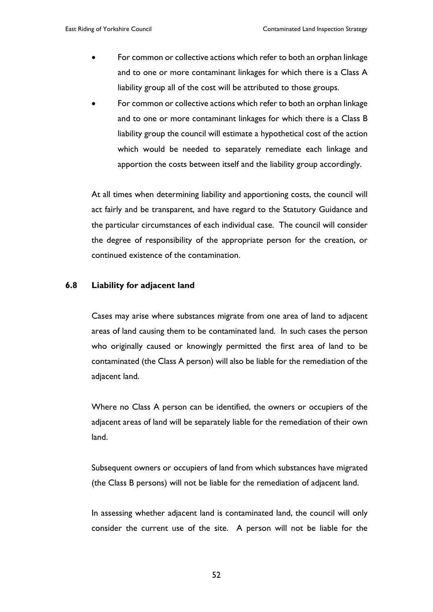- For common or collective actions which refer to both an orphan linkage and to one or more contaminant linkages for which there is a Class A liability group all of the cost will be attributed to those groups.
- For common or collective actions which refer to both an orphan linkage and to one or more contaminant linkages for which there is a Class B liability group the council will estimate a hypothetical cost of the action which would be needed to separately remediate each linkage and apportion the costs between itself and the liability group accordingly.

At all times when determining liability and apportioning costs, the council will act fairly and be transparent, and have regard to the Statutory Guidance and the particular circumstances of each individual case. The council will consider the degree of responsibility of the appropriate person for the creation, or continued existence of the contamination.

#### **6.8 Liability for adjacent land**

Cases may arise where substances migrate from one area of land to adjacent areas of land causing them to be contaminated land. In such cases the person who originally caused or knowingly permitted the first area of land to be contaminated (the Class A person) will also be liable for the remediation of the adjacent land.

Where no Class A person can be identified, the owners or occupiers of the adjacent areas of land will be separately liable for the remediation of their own land.

Subsequent owners or occupiers of land from which substances have migrated (the Class B persons) will not be liable for the remediation of adjacent land.

In assessing whether adjacent land is contaminated land, the council will only consider the current use of the site. A person will not be liable for the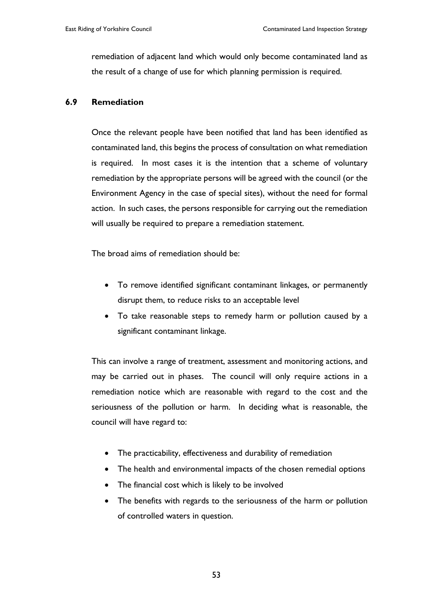remediation of adjacent land which would only become contaminated land as the result of a change of use for which planning permission is required.

#### **6.9 Remediation**

Once the relevant people have been notified that land has been identified as contaminated land, this begins the process of consultation on what remediation is required. In most cases it is the intention that a scheme of voluntary remediation by the appropriate persons will be agreed with the council (or the Environment Agency in the case of special sites), without the need for formal action. In such cases, the persons responsible for carrying out the remediation will usually be required to prepare a remediation statement.

The broad aims of remediation should be:

- To remove identified significant contaminant linkages, or permanently disrupt them, to reduce risks to an acceptable level
- To take reasonable steps to remedy harm or pollution caused by a significant contaminant linkage.

This can involve a range of treatment, assessment and monitoring actions, and may be carried out in phases. The council will only require actions in a remediation notice which are reasonable with regard to the cost and the seriousness of the pollution or harm. In deciding what is reasonable, the council will have regard to:

- The practicability, effectiveness and durability of remediation
- The health and environmental impacts of the chosen remedial options
- The financial cost which is likely to be involved
- The benefits with regards to the seriousness of the harm or pollution of controlled waters in question.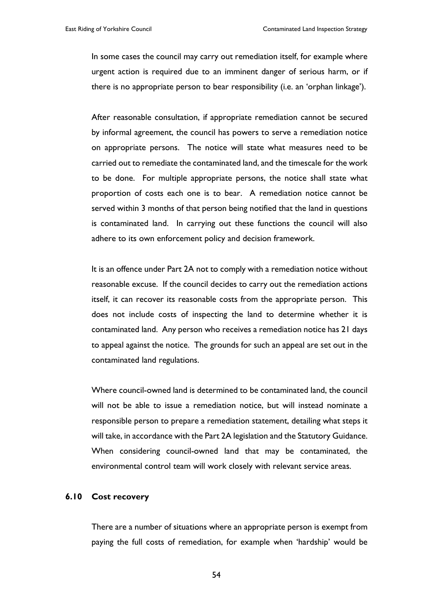In some cases the council may carry out remediation itself, for example where urgent action is required due to an imminent danger of serious harm, or if there is no appropriate person to bear responsibility (i.e. an 'orphan linkage').

After reasonable consultation, if appropriate remediation cannot be secured by informal agreement, the council has powers to serve a remediation notice on appropriate persons. The notice will state what measures need to be carried out to remediate the contaminated land, and the timescale for the work to be done. For multiple appropriate persons, the notice shall state what proportion of costs each one is to bear. A remediation notice cannot be served within 3 months of that person being notified that the land in questions is contaminated land. In carrying out these functions the council will also adhere to its own enforcement policy and decision framework.

It is an offence under Part 2A not to comply with a remediation notice without reasonable excuse. If the council decides to carry out the remediation actions itself, it can recover its reasonable costs from the appropriate person. This does not include costs of inspecting the land to determine whether it is contaminated land. Any person who receives a remediation notice has 21 days to appeal against the notice. The grounds for such an appeal are set out in the contaminated land regulations.

Where council-owned land is determined to be contaminated land, the council will not be able to issue a remediation notice, but will instead nominate a responsible person to prepare a remediation statement, detailing what steps it will take, in accordance with the Part 2A legislation and the Statutory Guidance. When considering council-owned land that may be contaminated, the environmental control team will work closely with relevant service areas.

#### **6.10 Cost recovery**

There are a number of situations where an appropriate person is exempt from paying the full costs of remediation, for example when 'hardship' would be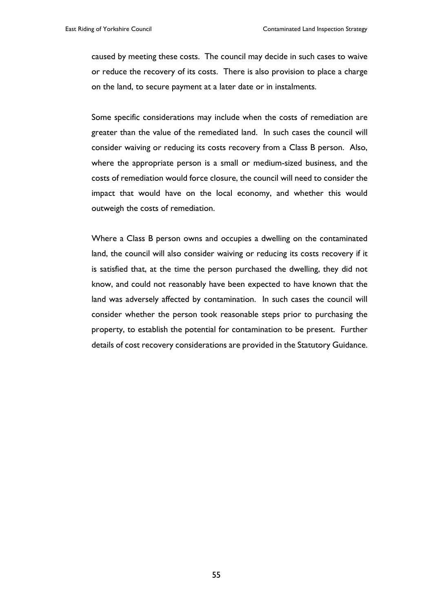caused by meeting these costs. The council may decide in such cases to waive or reduce the recovery of its costs. There is also provision to place a charge on the land, to secure payment at a later date or in instalments.

Some specific considerations may include when the costs of remediation are greater than the value of the remediated land. In such cases the council will consider waiving or reducing its costs recovery from a Class B person. Also, where the appropriate person is a small or medium-sized business, and the costs of remediation would force closure, the council will need to consider the impact that would have on the local economy, and whether this would outweigh the costs of remediation.

Where a Class B person owns and occupies a dwelling on the contaminated land, the council will also consider waiving or reducing its costs recovery if it is satisfied that, at the time the person purchased the dwelling, they did not know, and could not reasonably have been expected to have known that the land was adversely affected by contamination. In such cases the council will consider whether the person took reasonable steps prior to purchasing the property, to establish the potential for contamination to be present. Further details of cost recovery considerations are provided in the Statutory Guidance.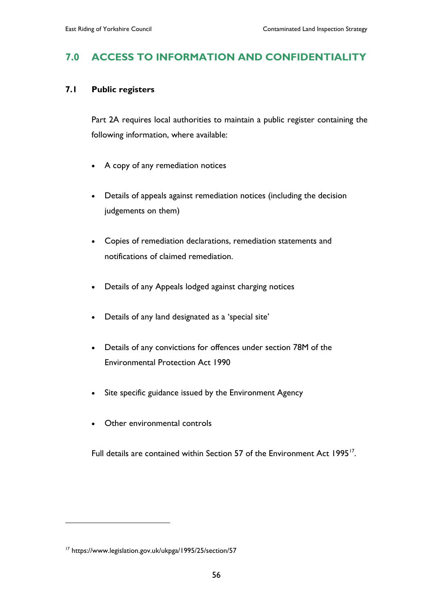# **7.0 ACCESS TO INFORMATION AND CONFIDENTIALITY**

#### **7.1 Public registers**

Part 2A requires local authorities to maintain a public register containing the following information, where available:

- A copy of any remediation notices
- Details of appeals against remediation notices (including the decision judgements on them)
- Copies of remediation declarations, remediation statements and notifications of claimed remediation.
- Details of any Appeals lodged against charging notices
- Details of any land designated as a 'special site'
- Details of any convictions for offences under section 78M of the Environmental Protection Act 1990
- Site specific guidance issued by the Environment Agency
- Other environmental controls

Full details are contained within Section 57 of the Environment Act 1995<sup>[17](#page-60-0)</sup>.

 $\overline{a}$ 

<span id="page-60-0"></span><sup>17</sup> https://www.legislation.gov.uk/ukpga/1995/25/section/57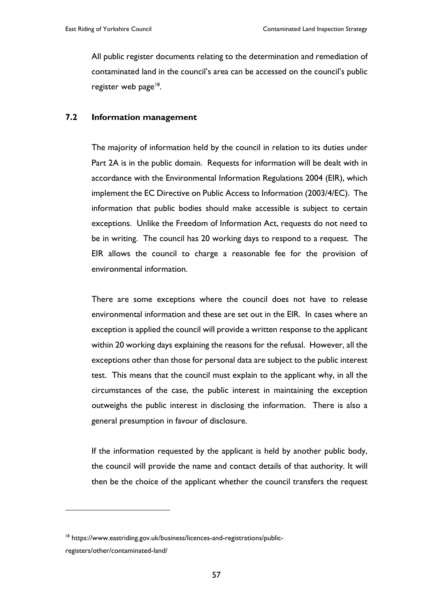All public register documents relating to the determination and remediation of contaminated land in the council's area can be accessed on the council's public register web page $^{18}$ .

#### **7.2 Information management**

The majority of information held by the council in relation to its duties under Part 2A is in the public domain. Requests for information will be dealt with in accordance with the Environmental Information Regulations 2004 (EIR), which implement the EC Directive on Public Access to Information (2003/4/EC). The information that public bodies should make accessible is subject to certain exceptions. Unlike the Freedom of Information Act, requests do not need to be in writing. The council has 20 working days to respond to a request. The EIR allows the council to charge a reasonable fee for the provision of environmental information.

There are some exceptions where the council does not have to release environmental information and these are set out in the EIR. In cases where an exception is applied the council will provide a written response to the applicant within 20 working days explaining the reasons for the refusal. However, all the exceptions other than those for personal data are subject to the public interest test. This means that the council must explain to the applicant why, in all the circumstances of the case, the public interest in maintaining the exception outweighs the public interest in disclosing the information. There is also a general presumption in favour of disclosure.

If the information requested by the applicant is held by another public body, the council will provide the name and contact details of that authority. It will then be the choice of the applicant whether the council transfers the request

 $\overline{a}$ 

<span id="page-61-0"></span><sup>&</sup>lt;sup>18</sup> https://www.eastriding.gov.uk/business/licences-and-registrations/publicregisters/other/contaminated-land/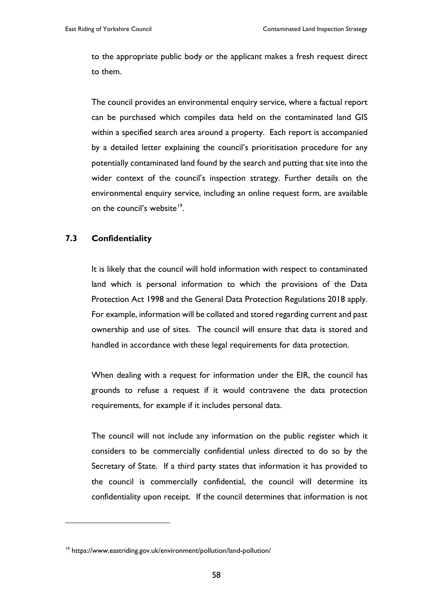to the appropriate public body or the applicant makes a fresh request direct to them.

The council provides an environmental enquiry service, where a factual report can be purchased which compiles data held on the contaminated land GIS within a specified search area around a property. Each report is accompanied by a detailed letter explaining the council's prioritisation procedure for any potentially contaminated land found by the search and putting that site into the wider context of the council's inspection strategy. Further details on the environmental enquiry service, including an online request form, are available on the council's website<sup>19</sup>.

#### **7.3 Confidentiality**

 $\overline{a}$ 

It is likely that the council will hold information with respect to contaminated land which is personal information to which the provisions of the Data Protection Act 1998 and the General Data Protection Regulations 2018 apply. For example, information will be collated and stored regarding current and past ownership and use of sites. The council will ensure that data is stored and handled in accordance with these legal requirements for data protection.

When dealing with a request for information under the EIR, the council has grounds to refuse a request if it would contravene the data protection requirements, for example if it includes personal data.

The council will not include any information on the public register which it considers to be commercially confidential unless directed to do so by the Secretary of State. If a third party states that information it has provided to the council is commercially confidential, the council will determine its confidentiality upon receipt. If the council determines that information is not

<span id="page-62-0"></span><sup>19</sup> https://www.eastriding.gov.uk/environment/pollution/land-pollution/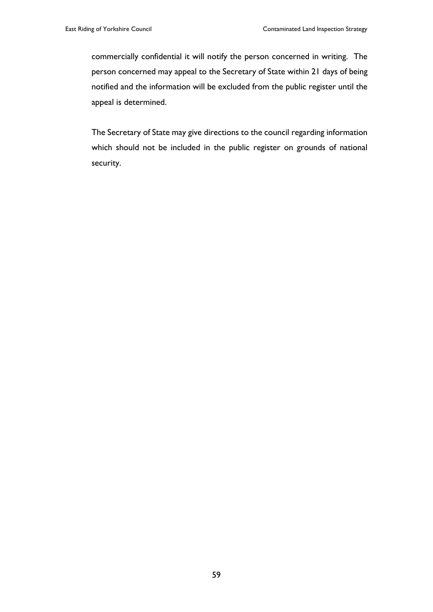commercially confidential it will notify the person concerned in writing. The person concerned may appeal to the Secretary of State within 21 days of being notified and the information will be excluded from the public register until the appeal is determined.

The Secretary of State may give directions to the council regarding information which should not be included in the public register on grounds of national security.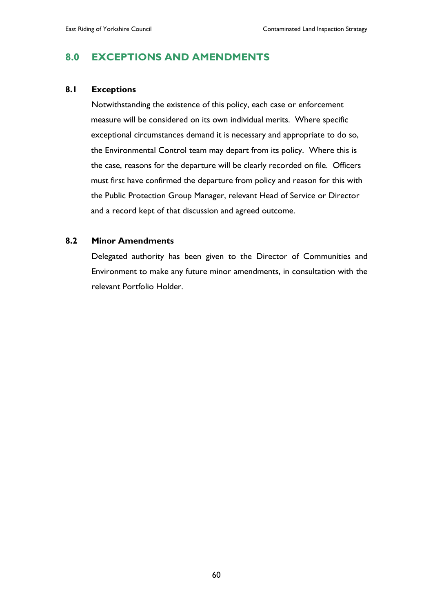# **8.0 EXCEPTIONS AND AMENDMENTS**

#### **8.1 Exceptions**

Notwithstanding the existence of this policy, each case or enforcement measure will be considered on its own individual merits. Where specific exceptional circumstances demand it is necessary and appropriate to do so, the Environmental Control team may depart from its policy. Where this is the case, reasons for the departure will be clearly recorded on file. Officers must first have confirmed the departure from policy and reason for this with the Public Protection Group Manager, relevant Head of Service or Director and a record kept of that discussion and agreed outcome.

#### **8.2 Minor Amendments**

Delegated authority has been given to the Director of Communities and Environment to make any future minor amendments, in consultation with the relevant Portfolio Holder.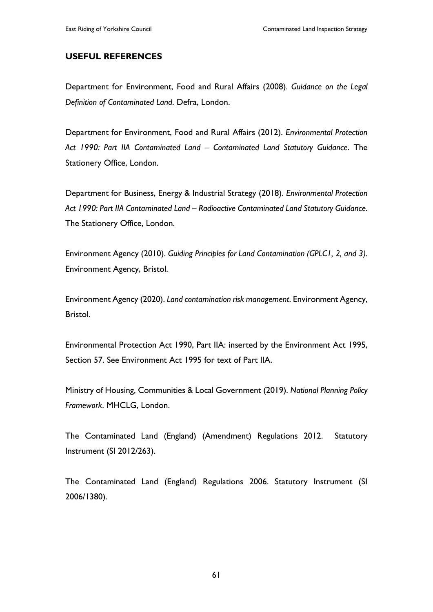#### **USEFUL REFERENCES**

Department for Environment, Food and Rural Affairs (2008). *Guidance on the Legal Definition of Contaminated Land*. Defra, London.

Department for Environment, Food and Rural Affairs (2012). *Environmental Protection Act 1990: Part IIA Contaminated Land – Contaminated Land Statutory Guidance*. The Stationery Office, London.

Department for Business, Energy & Industrial Strategy (2018). *Environmental Protection Act 1990: Part IIA Contaminated Land – Radioactive Contaminated Land Statutory Guidance*. The Stationery Office, London.

Environment Agency (2010). *Guiding Principles for Land Contamination (GPLC1, 2, and 3)*. Environment Agency, Bristol.

Environment Agency (2020). *Land contamination risk management*. Environment Agency, Bristol.

Environmental Protection Act 1990, Part IIA: inserted by the Environment Act 1995, Section 57. See Environment Act 1995 for text of Part IIA.

Ministry of Housing, Communities & Local Government (2019). *National Planning Policy Framework*. MHCLG, London.

The Contaminated Land (England) (Amendment) Regulations 2012. Statutory Instrument (SI 2012/263).

The Contaminated Land (England) Regulations 2006. Statutory Instrument (SI 2006/1380).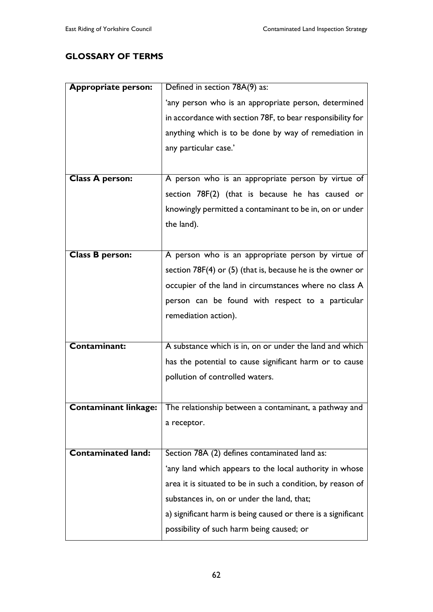### **GLOSSARY OF TERMS**

| <b>Appropriate person:</b> | Defined in section 78A(9) as:                                                     |
|----------------------------|-----------------------------------------------------------------------------------|
|                            | 'any person who is an appropriate person, determined                              |
|                            | in accordance with section 78F, to bear responsibility for                        |
|                            | anything which is to be done by way of remediation in                             |
|                            | any particular case.'                                                             |
|                            |                                                                                   |
| Class A person:            | A person who is an appropriate person by virtue of                                |
|                            | section 78F(2) (that is because he has caused or                                  |
|                            | knowingly permitted a contaminant to be in, on or under                           |
|                            | the land).                                                                        |
|                            |                                                                                   |
| <b>Class B person:</b>     | A person who is an appropriate person by virtue of                                |
|                            | section $78F(4)$ or (5) (that is, because he is the owner or                      |
|                            | occupier of the land in circumstances where no class A                            |
|                            | person can be found with respect to a particular                                  |
|                            | remediation action).                                                              |
|                            |                                                                                   |
| <b>Contaminant:</b>        | A substance which is in, on or under the land and which                           |
|                            | has the potential to cause significant harm or to cause                           |
|                            | pollution of controlled waters.                                                   |
|                            |                                                                                   |
|                            | <b>Contaminant linkage:</b> The relationship between a contaminant, a pathway and |
|                            | a receptor.                                                                       |
|                            |                                                                                   |
| <b>Contaminated land:</b>  | Section 78A (2) defines contaminated land as:                                     |
|                            | 'any land which appears to the local authority in whose                           |
|                            | area it is situated to be in such a condition, by reason of                       |
|                            | substances in, on or under the land, that;                                        |
|                            | a) significant harm is being caused or there is a significant                     |
|                            | possibility of such harm being caused; or                                         |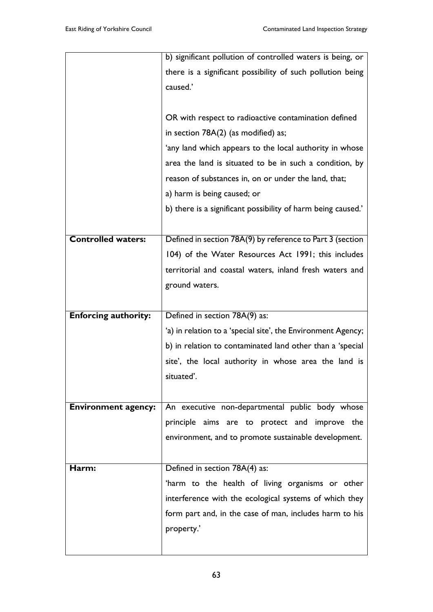|                             | b) significant pollution of controlled waters is being, or   |
|-----------------------------|--------------------------------------------------------------|
|                             | there is a significant possibility of such pollution being   |
|                             | caused.'                                                     |
|                             |                                                              |
|                             | OR with respect to radioactive contamination defined         |
|                             | in section 78A(2) (as modified) as;                          |
|                             | 'any land which appears to the local authority in whose      |
|                             | area the land is situated to be in such a condition, by      |
|                             | reason of substances in, on or under the land, that;         |
|                             | a) harm is being caused; or                                  |
|                             | b) there is a significant possibility of harm being caused.' |
|                             |                                                              |
| Controlled waters:          | Defined in section 78A(9) by reference to Part 3 (section    |
|                             | 104) of the Water Resources Act 1991; this includes          |
|                             | territorial and coastal waters, inland fresh waters and      |
|                             | ground waters.                                               |
|                             |                                                              |
| <b>Enforcing authority:</b> | Defined in section 78A(9) as:                                |
|                             | 'a) in relation to a 'special site', the Environment Agency; |
|                             | b) in relation to contaminated land other than a 'special    |
|                             | site', the local authority in whose area the land is         |
|                             | situated'.                                                   |
|                             |                                                              |
| <b>Environment agency:</b>  | An executive non-departmental public body whose              |
|                             | principle aims are to protect and improve the                |
|                             | environment, and to promote sustainable development.         |
|                             |                                                              |
| Harm:                       | Defined in section 78A(4) as:                                |
|                             | 'harm to the health of living organisms or other             |
|                             | interference with the ecological systems of which they       |
|                             | form part and, in the case of man, includes harm to his      |
|                             | property.'                                                   |
|                             |                                                              |
|                             |                                                              |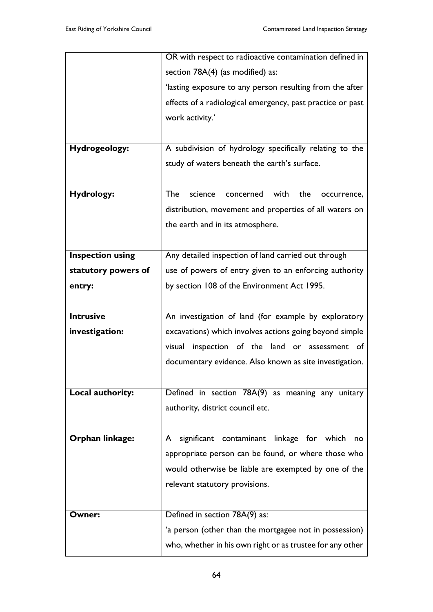|                         | OR with respect to radioactive contamination defined in       |
|-------------------------|---------------------------------------------------------------|
|                         | section 78A(4) (as modified) as:                              |
|                         | 'lasting exposure to any person resulting from the after      |
|                         | effects of a radiological emergency, past practice or past    |
|                         | work activity.'                                               |
|                         |                                                               |
| Hydrogeology:           | A subdivision of hydrology specifically relating to the       |
|                         | study of waters beneath the earth's surface.                  |
|                         |                                                               |
| <b>Hydrology:</b>       | The<br>science<br>with<br>the<br>concerned<br>occurrence,     |
|                         | distribution, movement and properties of all waters on        |
|                         | the earth and in its atmosphere.                              |
|                         |                                                               |
| <b>Inspection using</b> | Any detailed inspection of land carried out through           |
| statutory powers of     | use of powers of entry given to an enforcing authority        |
| entry:                  | by section 108 of the Environment Act 1995.                   |
|                         |                                                               |
| <b>Intrusive</b>        | An investigation of land (for example by exploratory          |
| investigation:          | excavations) which involves actions going beyond simple       |
|                         | inspection of the land or assessment of<br>visual             |
|                         | documentary evidence. Also known as site investigation.       |
|                         |                                                               |
| Local authority:        | Defined in section 78A(9) as meaning any unitary              |
|                         | authority, district council etc.                              |
|                         |                                                               |
| Orphan linkage:         | significant<br>contaminant linkage<br>for<br>which<br>A<br>no |
|                         | appropriate person can be found, or where those who           |
|                         | would otherwise be liable are exempted by one of the          |
|                         | relevant statutory provisions.                                |
|                         |                                                               |
| Owner:                  | Defined in section 78A(9) as:                                 |
|                         | 'a person (other than the mortgagee not in possession)        |
|                         | who, whether in his own right or as trustee for any other     |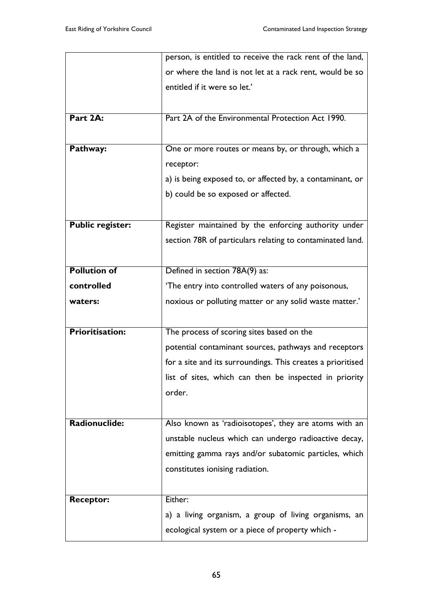|                         | person, is entitled to receive the rack rent of the land,   |
|-------------------------|-------------------------------------------------------------|
|                         | or where the land is not let at a rack rent, would be so    |
|                         | entitled if it were so let.'                                |
|                         |                                                             |
| Part 2A:                | Part 2A of the Environmental Protection Act 1990.           |
|                         |                                                             |
| Pathway:                | One or more routes or means by, or through, which a         |
|                         | receptor:                                                   |
|                         | a) is being exposed to, or affected by, a contaminant, or   |
|                         | b) could be so exposed or affected.                         |
|                         |                                                             |
| <b>Public register:</b> | Register maintained by the enforcing authority under        |
|                         | section 78R of particulars relating to contaminated land.   |
|                         |                                                             |
| <b>Pollution of</b>     | Defined in section 78A(9) as:                               |
| controlled              | 'The entry into controlled waters of any poisonous,         |
| waters:                 |                                                             |
|                         | noxious or polluting matter or any solid waste matter.'     |
|                         |                                                             |
| <b>Prioritisation:</b>  | The process of scoring sites based on the                   |
|                         | potential contaminant sources, pathways and receptors       |
|                         | for a site and its surroundings. This creates a prioritised |
|                         | list of sites, which can then be inspected in priority      |
|                         | order.                                                      |
|                         |                                                             |
| Radionuclide:           | Also known as 'radioisotopes', they are atoms with an       |
|                         | unstable nucleus which can undergo radioactive decay,       |
|                         | emitting gamma rays and/or subatomic particles, which       |
|                         | constitutes ionising radiation.                             |
|                         |                                                             |
| <b>Receptor:</b>        | Either:                                                     |
|                         | a) a living organism, a group of living organisms, an       |
|                         |                                                             |
|                         | ecological system or a piece of property which -            |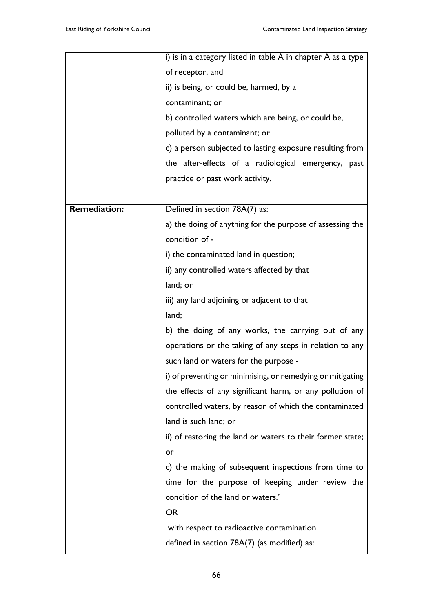|                     | i) is in a category listed in table A in chapter A as a type |
|---------------------|--------------------------------------------------------------|
|                     | of receptor, and                                             |
|                     | ii) is being, or could be, harmed, by a                      |
|                     | contaminant; or                                              |
|                     | b) controlled waters which are being, or could be,           |
|                     | polluted by a contaminant; or                                |
|                     | c) a person subjected to lasting exposure resulting from     |
|                     | the after-effects of a radiological emergency, past          |
|                     | practice or past work activity.                              |
|                     |                                                              |
| <b>Remediation:</b> | Defined in section 78A(7) as:                                |
|                     | a) the doing of anything for the purpose of assessing the    |
|                     | condition of -                                               |
|                     | i) the contaminated land in question;                        |
|                     | ii) any controlled waters affected by that                   |
|                     | land; or                                                     |
|                     | iii) any land adjoining or adjacent to that                  |
|                     | land;                                                        |
|                     | b) the doing of any works, the carrying out of any           |
|                     | operations or the taking of any steps in relation to any     |
|                     | such land or waters for the purpose -                        |
|                     | i) of preventing or minimising, or remedying or mitigating   |
|                     | the effects of any significant harm, or any pollution of     |
|                     | controlled waters, by reason of which the contaminated       |
|                     | land is such land; or                                        |
|                     | ii) of restoring the land or waters to their former state;   |
|                     | or                                                           |
|                     | c) the making of subsequent inspections from time to         |
|                     | time for the purpose of keeping under review the             |
|                     | condition of the land or waters.'                            |
|                     | <b>OR</b>                                                    |
|                     | with respect to radioactive contamination                    |
|                     | defined in section $78A(7)$ (as modified) as:                |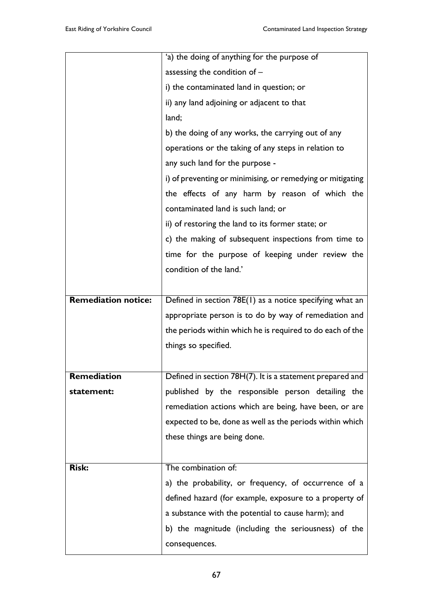|                            | 'a) the doing of anything for the purpose of               |
|----------------------------|------------------------------------------------------------|
|                            | assessing the condition of $-$                             |
|                            | i) the contaminated land in question; or                   |
|                            | ii) any land adjoining or adjacent to that                 |
|                            | land;                                                      |
|                            | b) the doing of any works, the carrying out of any         |
|                            | operations or the taking of any steps in relation to       |
|                            | any such land for the purpose -                            |
|                            | i) of preventing or minimising, or remedying or mitigating |
|                            | the effects of any harm by reason of which the             |
|                            | contaminated land is such land; or                         |
|                            | ii) of restoring the land to its former state; or          |
|                            | c) the making of subsequent inspections from time to       |
|                            | time for the purpose of keeping under review the           |
|                            | condition of the land.'                                    |
|                            |                                                            |
| <b>Remediation notice:</b> | Defined in section 78E(1) as a notice specifying what an   |
|                            | appropriate person is to do by way of remediation and      |
|                            | the periods within which he is required to do each of the  |
|                            | things so specified.                                       |
|                            |                                                            |
| Remediation                | Defined in section 78H(7). It is a statement prepared and  |
| statement:                 | published by the responsible person detailing the          |
|                            | remediation actions which are being, have been, or are     |
|                            | expected to be, done as well as the periods within which   |
|                            | these things are being done.                               |
|                            |                                                            |
| <b>Risk:</b>               | The combination of:                                        |
|                            | a) the probability, or frequency, of occurrence of a       |
|                            | defined hazard (for example, exposure to a property of     |
|                            | a substance with the potential to cause harm); and         |
|                            | b) the magnitude (including the seriousness) of the        |
|                            | consequences.                                              |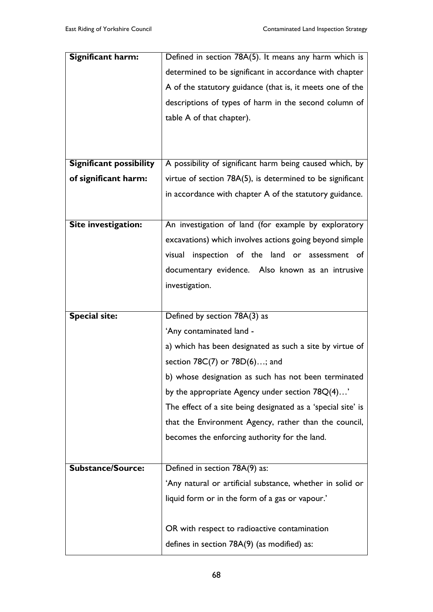| <b>Significant harm:</b>       | Defined in section 78A(5). It means any harm which is        |
|--------------------------------|--------------------------------------------------------------|
|                                | determined to be significant in accordance with chapter      |
|                                | A of the statutory guidance (that is, it meets one of the    |
|                                | descriptions of types of harm in the second column of        |
|                                | table A of that chapter).                                    |
|                                |                                                              |
|                                |                                                              |
| <b>Significant possibility</b> | A possibility of significant harm being caused which, by     |
| of significant harm:           | virtue of section 78A(5), is determined to be significant    |
|                                | in accordance with chapter A of the statutory guidance.      |
|                                |                                                              |
| Site investigation:            | An investigation of land (for example by exploratory         |
|                                | excavations) which involves actions going beyond simple      |
|                                | visual inspection of the land or assessment of               |
|                                | documentary evidence. Also known as an intrusive             |
|                                | investigation.                                               |
|                                |                                                              |
|                                |                                                              |
| <b>Special site:</b>           | Defined by section 78A(3) as                                 |
|                                | 'Any contaminated land -                                     |
|                                | a) which has been designated as such a site by virtue of     |
|                                | section 78C(7) or 78D(6); and                                |
|                                | b) whose designation as such has not been terminated         |
|                                | by the appropriate Agency under section $78Q(4)'$            |
|                                | The effect of a site being designated as a 'special site' is |
|                                | that the Environment Agency, rather than the council,        |
|                                | becomes the enforcing authority for the land.                |
|                                |                                                              |
| <b>Substance/Source:</b>       | Defined in section 78A(9) as:                                |
|                                | 'Any natural or artificial substance, whether in solid or    |
|                                | liquid form or in the form of a gas or vapour.'              |
|                                |                                                              |
|                                | OR with respect to radioactive contamination                 |